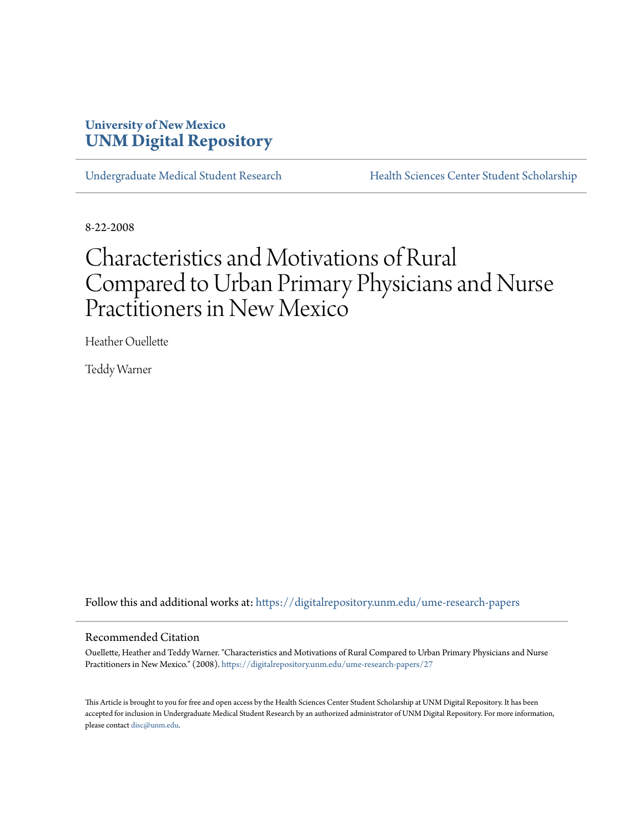# **University of New Mexico [UNM Digital Repository](https://digitalrepository.unm.edu?utm_source=digitalrepository.unm.edu%2Fume-research-papers%2F27&utm_medium=PDF&utm_campaign=PDFCoverPages)**

[Undergraduate Medical Student Research](https://digitalrepository.unm.edu/ume-research-papers?utm_source=digitalrepository.unm.edu%2Fume-research-papers%2F27&utm_medium=PDF&utm_campaign=PDFCoverPages) [Health Sciences Center Student Scholarship](https://digitalrepository.unm.edu/hsc-students?utm_source=digitalrepository.unm.edu%2Fume-research-papers%2F27&utm_medium=PDF&utm_campaign=PDFCoverPages)

8-22-2008

# Characteristics and Motivations of Rural Compared to Urban Primary Physicians and Nurse Practitioners in New Mexico

Heather Ouellette

Teddy Warner

Follow this and additional works at: [https://digitalrepository.unm.edu/ume-research-papers](https://digitalrepository.unm.edu/ume-research-papers?utm_source=digitalrepository.unm.edu%2Fume-research-papers%2F27&utm_medium=PDF&utm_campaign=PDFCoverPages)

#### Recommended Citation

Ouellette, Heather and Teddy Warner. "Characteristics and Motivations of Rural Compared to Urban Primary Physicians and Nurse Practitioners in New Mexico." (2008). [https://digitalrepository.unm.edu/ume-research-papers/27](https://digitalrepository.unm.edu/ume-research-papers/27?utm_source=digitalrepository.unm.edu%2Fume-research-papers%2F27&utm_medium=PDF&utm_campaign=PDFCoverPages)

This Article is brought to you for free and open access by the Health Sciences Center Student Scholarship at UNM Digital Repository. It has been accepted for inclusion in Undergraduate Medical Student Research by an authorized administrator of UNM Digital Repository. For more information, please contact [disc@unm.edu.](mailto:disc@unm.edu)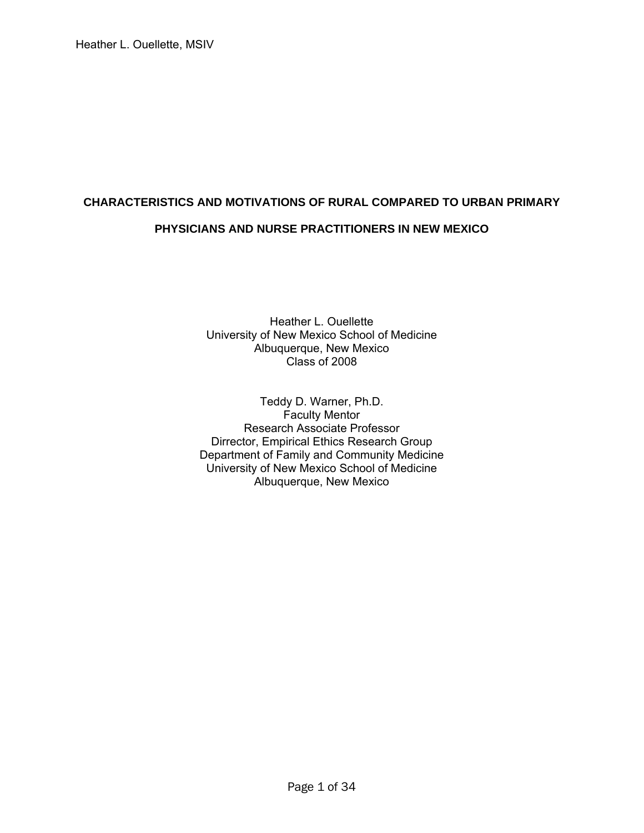# **CHARACTERISTICS AND MOTIVATIONS OF RURAL COMPARED TO URBAN PRIMARY PHYSICIANS AND NURSE PRACTITIONERS IN NEW MEXICO**

Heather L. Ouellette University of New Mexico School of Medicine Albuquerque, New Mexico Class of 2008

Teddy D. Warner, Ph.D. Faculty Mentor Research Associate Professor Dirrector, Empirical Ethics Research Group Department of Family and Community Medicine University of New Mexico School of Medicine Albuquerque, New Mexico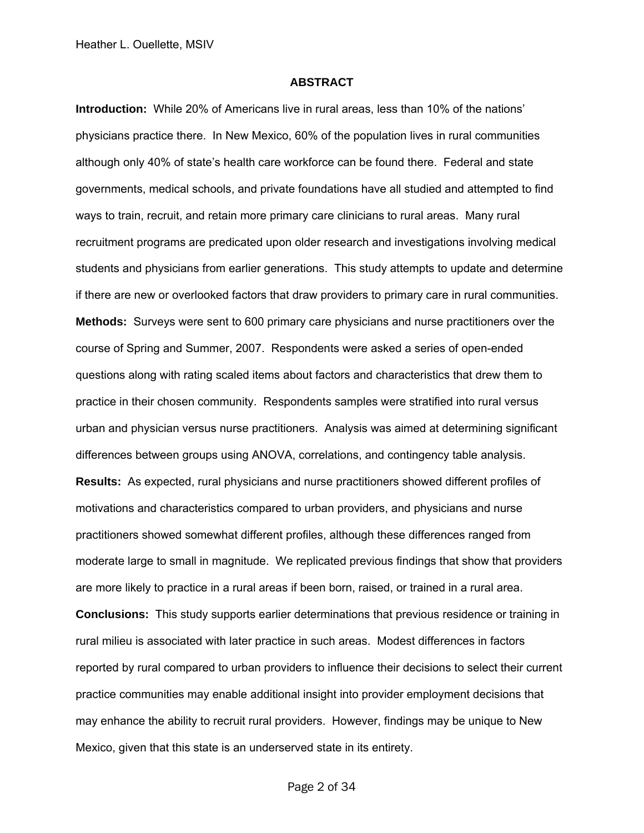#### **ABSTRACT**

**Introduction:** While 20% of Americans live in rural areas, less than 10% of the nations' physicians practice there. In New Mexico, 60% of the population lives in rural communities although only 40% of state's health care workforce can be found there. Federal and state governments, medical schools, and private foundations have all studied and attempted to find ways to train, recruit, and retain more primary care clinicians to rural areas. Many rural recruitment programs are predicated upon older research and investigations involving medical students and physicians from earlier generations. This study attempts to update and determine if there are new or overlooked factors that draw providers to primary care in rural communities. **Methods:** Surveys were sent to 600 primary care physicians and nurse practitioners over the course of Spring and Summer, 2007. Respondents were asked a series of open-ended questions along with rating scaled items about factors and characteristics that drew them to practice in their chosen community. Respondents samples were stratified into rural versus urban and physician versus nurse practitioners. Analysis was aimed at determining significant differences between groups using ANOVA, correlations, and contingency table analysis. **Results:** As expected, rural physicians and nurse practitioners showed different profiles of motivations and characteristics compared to urban providers, and physicians and nurse practitioners showed somewhat different profiles, although these differences ranged from moderate large to small in magnitude. We replicated previous findings that show that providers are more likely to practice in a rural areas if been born, raised, or trained in a rural area. **Conclusions:** This study supports earlier determinations that previous residence or training in rural milieu is associated with later practice in such areas. Modest differences in factors reported by rural compared to urban providers to influence their decisions to select their current practice communities may enable additional insight into provider employment decisions that may enhance the ability to recruit rural providers. However, findings may be unique to New Mexico, given that this state is an underserved state in its entirety.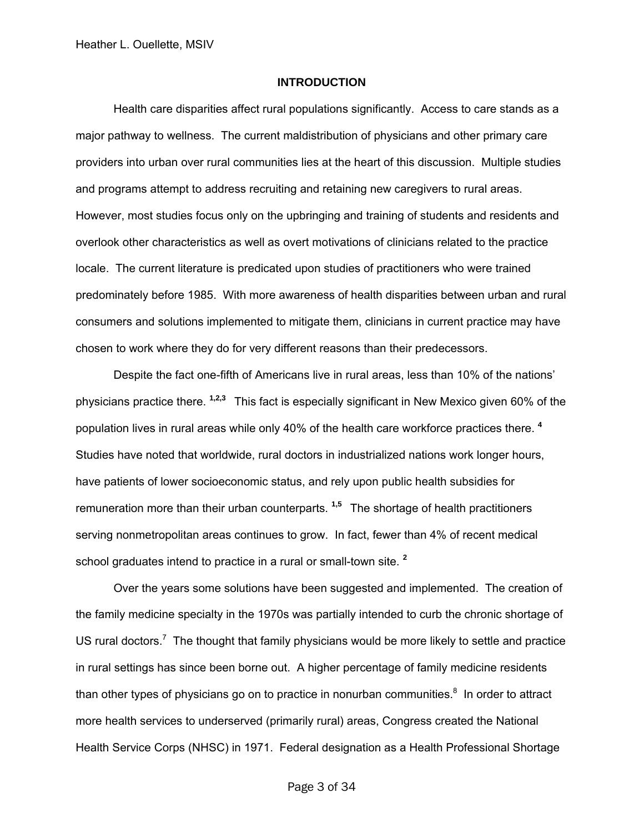#### **INTRODUCTION**

Health care disparities affect rural populations significantly. Access to care stands as a major pathway to wellness. The current maldistribution of physicians and other primary care providers into urban over rural communities lies at the heart of this discussion. Multiple studies and programs attempt to address recruiting and retaining new caregivers to rural areas. However, most studies focus only on the upbringing and training of students and residents and overlook other characteristics as well as overt motivations of clinicians related to the practice locale. The current literature is predicated upon studies of practitioners who were trained predominately before 1985. With more awareness of health disparities between urban and rural consumers and solutions implemented to mitigate them, clinicians in current practice may have chosen to work where they do for very different reasons than their predecessors.

Despite the fact one-fifth of Americans live in rural areas, less than 10% of the nations' physicians practice there. **1,2,3** This fact is especially significant in New Mexico given 60% of the population lives in rural areas while only 40% of the health care workforce practices there. **<sup>4</sup>** Studies have noted that worldwide, rural doctors in industrialized nations work longer hours, have patients of lower socioeconomic status, and rely upon public health subsidies for remuneration more than their urban counterparts. **1,5** The shortage of health practitioners serving nonmetropolitan areas continues to grow. In fact, fewer than 4% of recent medical school graduates intend to practice in a rural or small-town site. **<sup>2</sup>**

Over the years some solutions have been suggested and implemented. The creation of the family medicine specialty in the 1970s was partially intended to curb the chronic shortage of US rural doctors.<sup>7</sup> The thought that family physicians would be more likely to settle and practice in rural settings has since been borne out. A higher percentage of family medicine residents than other types of physicians go on to practice in nonurban communities. $8$  In order to attract more health services to underserved (primarily rural) areas, Congress created the National Health Service Corps (NHSC) in 1971. Federal designation as a Health Professional Shortage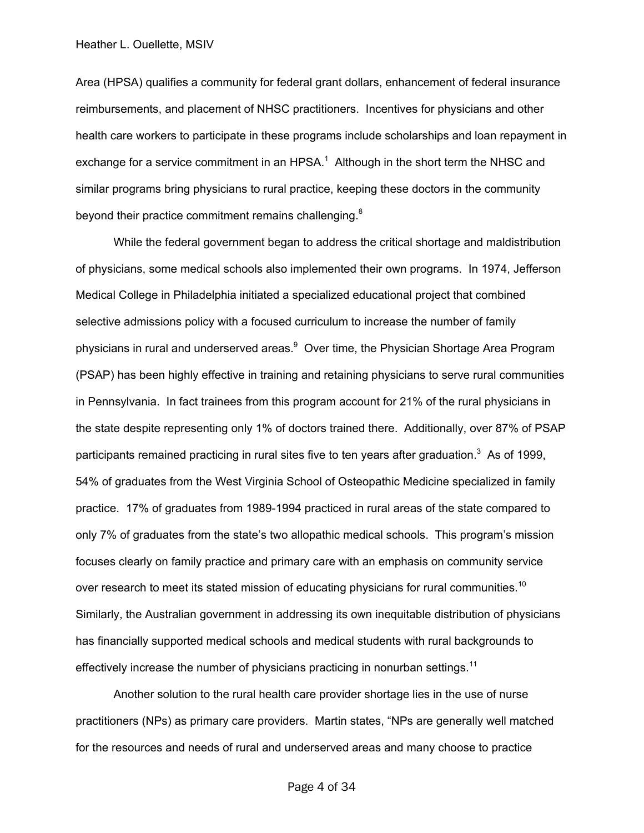Area (HPSA) qualifies a community for federal grant dollars, enhancement of federal insurance reimbursements, and placement of NHSC practitioners. Incentives for physicians and other health care workers to participate in these programs include scholarships and loan repayment in exchange for a service commitment in an HPSA. $1$  Although in the short term the NHSC and similar programs bring physicians to rural practice, keeping these doctors in the community beyond their practice commitment remains challenging.<sup>8</sup>

While the federal government began to address the critical shortage and maldistribution of physicians, some medical schools also implemented their own programs. In 1974, Jefferson Medical College in Philadelphia initiated a specialized educational project that combined selective admissions policy with a focused curriculum to increase the number of family physicians in rural and underserved areas.<sup>9</sup> Over time, the Physician Shortage Area Program (PSAP) has been highly effective in training and retaining physicians to serve rural communities in Pennsylvania. In fact trainees from this program account for 21% of the rural physicians in the state despite representing only 1% of doctors trained there. Additionally, over 87% of PSAP participants remained practicing in rural sites five to ten years after graduation.<sup>3</sup> As of 1999, 54% of graduates from the West Virginia School of Osteopathic Medicine specialized in family practice. 17% of graduates from 1989-1994 practiced in rural areas of the state compared to only 7% of graduates from the state's two allopathic medical schools. This program's mission focuses clearly on family practice and primary care with an emphasis on community service over research to meet its stated mission of educating physicians for rural communities.<sup>10</sup> Similarly, the Australian government in addressing its own inequitable distribution of physicians has financially supported medical schools and medical students with rural backgrounds to effectively increase the number of physicians practicing in nonurban settings.<sup>11</sup>

Another solution to the rural health care provider shortage lies in the use of nurse practitioners (NPs) as primary care providers. Martin states, "NPs are generally well matched for the resources and needs of rural and underserved areas and many choose to practice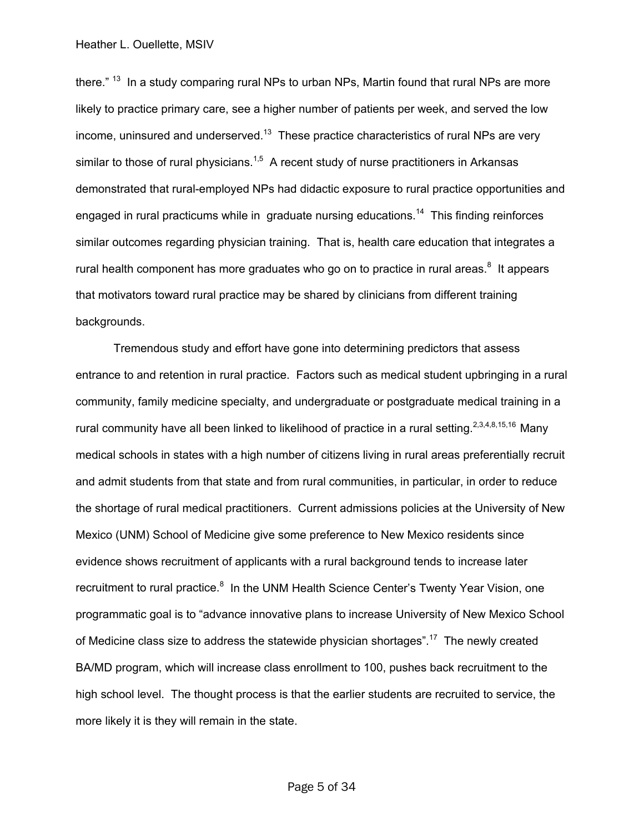there."<sup>13</sup> In a study comparing rural NPs to urban NPs, Martin found that rural NPs are more likely to practice primary care, see a higher number of patients per week, and served the low income, uninsured and underserved.<sup>13</sup> These practice characteristics of rural NPs are very similar to those of rural physicians.<sup>1,5</sup> A recent study of nurse practitioners in Arkansas demonstrated that rural-employed NPs had didactic exposure to rural practice opportunities and engaged in rural practicums while in graduate nursing educations.<sup>14</sup> This finding reinforces similar outcomes regarding physician training. That is, health care education that integrates a rural health component has more graduates who go on to practice in rural areas. $8$  It appears that motivators toward rural practice may be shared by clinicians from different training backgrounds.

Tremendous study and effort have gone into determining predictors that assess entrance to and retention in rural practice. Factors such as medical student upbringing in a rural community, family medicine specialty, and undergraduate or postgraduate medical training in a rural community have all been linked to likelihood of practice in a rural setting.<sup>2,3,4,8,15,16</sup> Many medical schools in states with a high number of citizens living in rural areas preferentially recruit and admit students from that state and from rural communities, in particular, in order to reduce the shortage of rural medical practitioners. Current admissions policies at the University of New Mexico (UNM) School of Medicine give some preference to New Mexico residents since evidence shows recruitment of applicants with a rural background tends to increase later recruitment to rural practice.<sup>8</sup> In the UNM Health Science Center's Twenty Year Vision, one programmatic goal is to "advance innovative plans to increase University of New Mexico School of Medicine class size to address the statewide physician shortages".<sup>17</sup> The newly created BA/MD program, which will increase class enrollment to 100, pushes back recruitment to the high school level. The thought process is that the earlier students are recruited to service, the more likely it is they will remain in the state.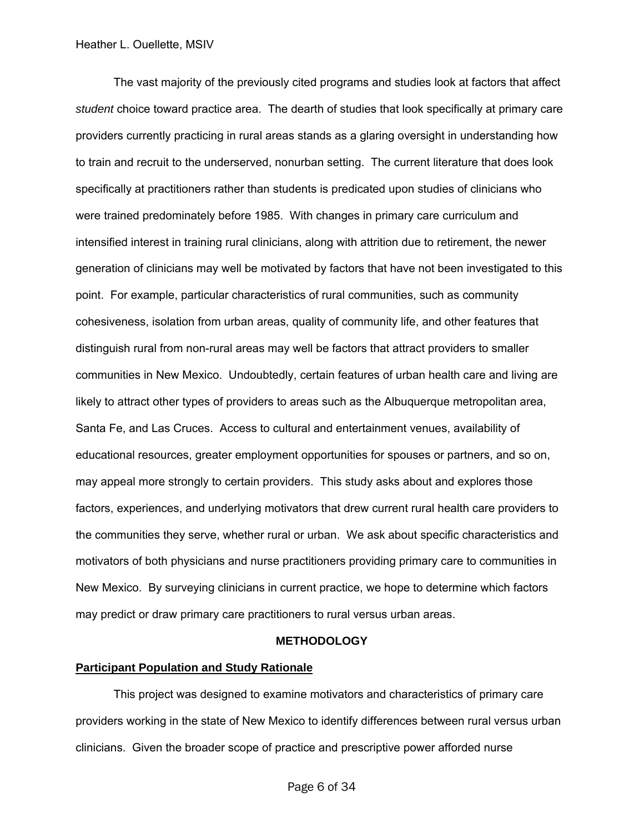The vast majority of the previously cited programs and studies look at factors that affect *student* choice toward practice area. The dearth of studies that look specifically at primary care providers currently practicing in rural areas stands as a glaring oversight in understanding how to train and recruit to the underserved, nonurban setting. The current literature that does look specifically at practitioners rather than students is predicated upon studies of clinicians who were trained predominately before 1985. With changes in primary care curriculum and intensified interest in training rural clinicians, along with attrition due to retirement, the newer generation of clinicians may well be motivated by factors that have not been investigated to this point. For example, particular characteristics of rural communities, such as community cohesiveness, isolation from urban areas, quality of community life, and other features that distinguish rural from non-rural areas may well be factors that attract providers to smaller communities in New Mexico. Undoubtedly, certain features of urban health care and living are likely to attract other types of providers to areas such as the Albuquerque metropolitan area, Santa Fe, and Las Cruces. Access to cultural and entertainment venues, availability of educational resources, greater employment opportunities for spouses or partners, and so on, may appeal more strongly to certain providers. This study asks about and explores those factors, experiences, and underlying motivators that drew current rural health care providers to the communities they serve, whether rural or urban. We ask about specific characteristics and motivators of both physicians and nurse practitioners providing primary care to communities in New Mexico. By surveying clinicians in current practice, we hope to determine which factors may predict or draw primary care practitioners to rural versus urban areas.

#### **METHODOLOGY**

#### **Participant Population and Study Rationale**

 This project was designed to examine motivators and characteristics of primary care providers working in the state of New Mexico to identify differences between rural versus urban clinicians. Given the broader scope of practice and prescriptive power afforded nurse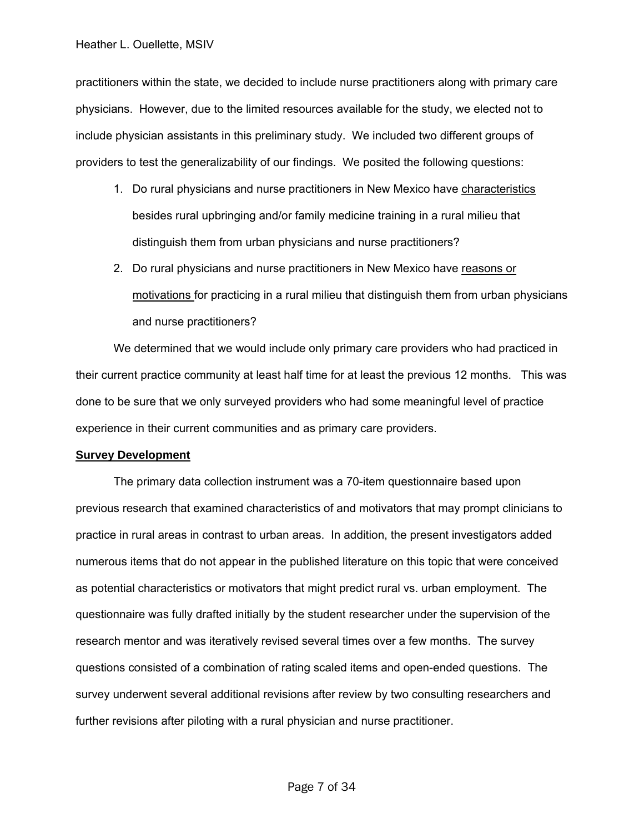practitioners within the state, we decided to include nurse practitioners along with primary care physicians. However, due to the limited resources available for the study, we elected not to include physician assistants in this preliminary study. We included two different groups of providers to test the generalizability of our findings. We posited the following questions:

- 1. Do rural physicians and nurse practitioners in New Mexico have characteristics besides rural upbringing and/or family medicine training in a rural milieu that distinguish them from urban physicians and nurse practitioners?
- 2. Do rural physicians and nurse practitioners in New Mexico have reasons or motivations for practicing in a rural milieu that distinguish them from urban physicians and nurse practitioners?

We determined that we would include only primary care providers who had practiced in their current practice community at least half time for at least the previous 12 months. This was done to be sure that we only surveyed providers who had some meaningful level of practice experience in their current communities and as primary care providers.

#### **Survey Development**

The primary data collection instrument was a 70-item questionnaire based upon previous research that examined characteristics of and motivators that may prompt clinicians to practice in rural areas in contrast to urban areas. In addition, the present investigators added numerous items that do not appear in the published literature on this topic that were conceived as potential characteristics or motivators that might predict rural vs. urban employment. The questionnaire was fully drafted initially by the student researcher under the supervision of the research mentor and was iteratively revised several times over a few months. The survey questions consisted of a combination of rating scaled items and open-ended questions. The survey underwent several additional revisions after review by two consulting researchers and further revisions after piloting with a rural physician and nurse practitioner.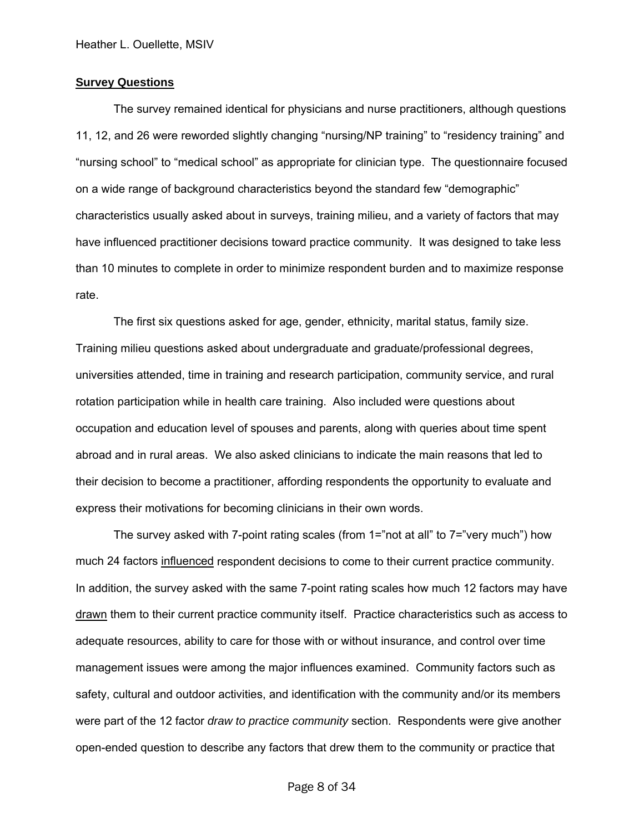#### **Survey Questions**

The survey remained identical for physicians and nurse practitioners, although questions 11, 12, and 26 were reworded slightly changing "nursing/NP training" to "residency training" and "nursing school" to "medical school" as appropriate for clinician type. The questionnaire focused on a wide range of background characteristics beyond the standard few "demographic" characteristics usually asked about in surveys, training milieu, and a variety of factors that may have influenced practitioner decisions toward practice community. It was designed to take less than 10 minutes to complete in order to minimize respondent burden and to maximize response rate.

The first six questions asked for age, gender, ethnicity, marital status, family size. Training milieu questions asked about undergraduate and graduate/professional degrees, universities attended, time in training and research participation, community service, and rural rotation participation while in health care training. Also included were questions about occupation and education level of spouses and parents, along with queries about time spent abroad and in rural areas. We also asked clinicians to indicate the main reasons that led to their decision to become a practitioner, affording respondents the opportunity to evaluate and express their motivations for becoming clinicians in their own words.

The survey asked with 7-point rating scales (from 1="not at all" to 7="very much") how much 24 factors influenced respondent decisions to come to their current practice community. In addition, the survey asked with the same 7-point rating scales how much 12 factors may have drawn them to their current practice community itself. Practice characteristics such as access to adequate resources, ability to care for those with or without insurance, and control over time management issues were among the major influences examined. Community factors such as safety, cultural and outdoor activities, and identification with the community and/or its members were part of the 12 factor *draw to practice community* section. Respondents were give another open-ended question to describe any factors that drew them to the community or practice that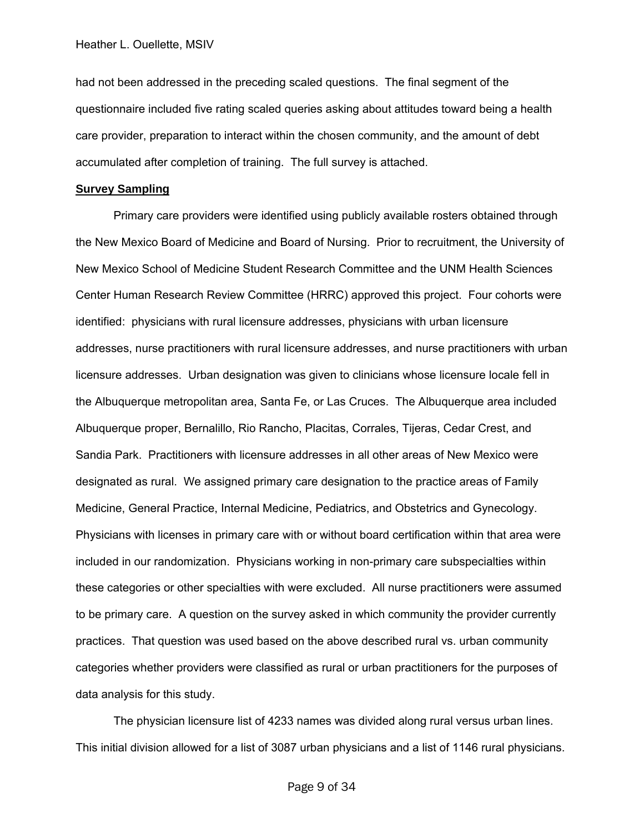had not been addressed in the preceding scaled questions. The final segment of the questionnaire included five rating scaled queries asking about attitudes toward being a health care provider, preparation to interact within the chosen community, and the amount of debt accumulated after completion of training. The full survey is attached.

#### **Survey Sampling**

Primary care providers were identified using publicly available rosters obtained through the New Mexico Board of Medicine and Board of Nursing. Prior to recruitment, the University of New Mexico School of Medicine Student Research Committee and the UNM Health Sciences Center Human Research Review Committee (HRRC) approved this project. Four cohorts were identified: physicians with rural licensure addresses, physicians with urban licensure addresses, nurse practitioners with rural licensure addresses, and nurse practitioners with urban licensure addresses. Urban designation was given to clinicians whose licensure locale fell in the Albuquerque metropolitan area, Santa Fe, or Las Cruces. The Albuquerque area included Albuquerque proper, Bernalillo, Rio Rancho, Placitas, Corrales, Tijeras, Cedar Crest, and Sandia Park. Practitioners with licensure addresses in all other areas of New Mexico were designated as rural. We assigned primary care designation to the practice areas of Family Medicine, General Practice, Internal Medicine, Pediatrics, and Obstetrics and Gynecology. Physicians with licenses in primary care with or without board certification within that area were included in our randomization. Physicians working in non-primary care subspecialties within these categories or other specialties with were excluded. All nurse practitioners were assumed to be primary care. A question on the survey asked in which community the provider currently practices. That question was used based on the above described rural vs. urban community categories whether providers were classified as rural or urban practitioners for the purposes of data analysis for this study.

The physician licensure list of 4233 names was divided along rural versus urban lines. This initial division allowed for a list of 3087 urban physicians and a list of 1146 rural physicians.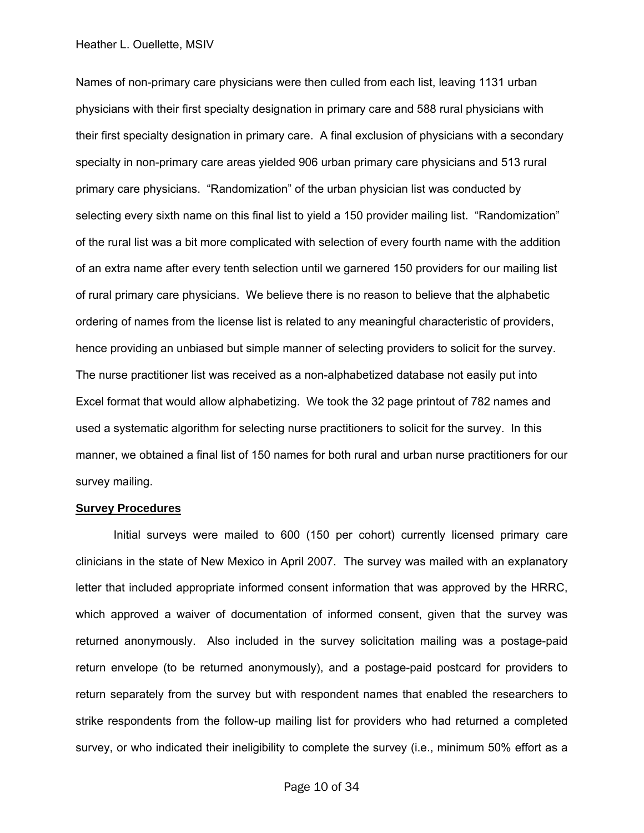Names of non-primary care physicians were then culled from each list, leaving 1131 urban physicians with their first specialty designation in primary care and 588 rural physicians with their first specialty designation in primary care. A final exclusion of physicians with a secondary specialty in non-primary care areas yielded 906 urban primary care physicians and 513 rural primary care physicians. "Randomization" of the urban physician list was conducted by selecting every sixth name on this final list to yield a 150 provider mailing list. "Randomization" of the rural list was a bit more complicated with selection of every fourth name with the addition of an extra name after every tenth selection until we garnered 150 providers for our mailing list of rural primary care physicians. We believe there is no reason to believe that the alphabetic ordering of names from the license list is related to any meaningful characteristic of providers, hence providing an unbiased but simple manner of selecting providers to solicit for the survey. The nurse practitioner list was received as a non-alphabetized database not easily put into Excel format that would allow alphabetizing. We took the 32 page printout of 782 names and used a systematic algorithm for selecting nurse practitioners to solicit for the survey. In this manner, we obtained a final list of 150 names for both rural and urban nurse practitioners for our survey mailing.

#### **Survey Procedures**

Initial surveys were mailed to 600 (150 per cohort) currently licensed primary care clinicians in the state of New Mexico in April 2007. The survey was mailed with an explanatory letter that included appropriate informed consent information that was approved by the HRRC, which approved a waiver of documentation of informed consent, given that the survey was returned anonymously. Also included in the survey solicitation mailing was a postage-paid return envelope (to be returned anonymously), and a postage-paid postcard for providers to return separately from the survey but with respondent names that enabled the researchers to strike respondents from the follow-up mailing list for providers who had returned a completed survey, or who indicated their ineligibility to complete the survey (i.e., minimum 50% effort as a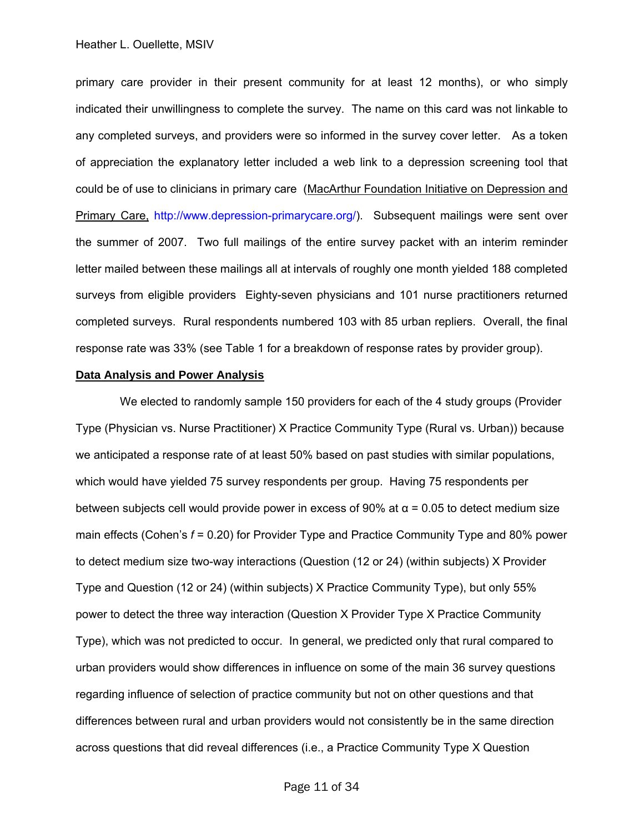primary care provider in their present community for at least 12 months), or who simply indicated their unwillingness to complete the survey. The name on this card was not linkable to any completed surveys, and providers were so informed in the survey cover letter. As a token of appreciation the explanatory letter included a web link to a depression screening tool that could be of use to clinicians in primary care (MacArthur Foundation Initiative on Depression and Primary Care, [http://www.depression-primarycare.org/\)](http://www.depression-primarycare.org/). Subsequent mailings were sent over the summer of 2007. Two full mailings of the entire survey packet with an interim reminder letter mailed between these mailings all at intervals of roughly one month yielded 188 completed surveys from eligible providers Eighty-seven physicians and 101 nurse practitioners returned completed surveys. Rural respondents numbered 103 with 85 urban repliers. Overall, the final response rate was 33% (see Table 1 for a breakdown of response rates by provider group).

#### **Data Analysis and Power Analysis**

 We elected to randomly sample 150 providers for each of the 4 study groups (Provider Type (Physician vs. Nurse Practitioner) X Practice Community Type (Rural vs. Urban)) because we anticipated a response rate of at least 50% based on past studies with similar populations, which would have yielded 75 survey respondents per group. Having 75 respondents per between subjects cell would provide power in excess of 90% at  $\alpha$  = 0.05 to detect medium size main effects (Cohen's  $f = 0.20$ ) for Provider Type and Practice Community Type and 80% power to detect medium size two-way interactions (Question (12 or 24) (within subjects) X Provider Type and Question (12 or 24) (within subjects) X Practice Community Type), but only 55% power to detect the three way interaction (Question X Provider Type X Practice Community Type), which was not predicted to occur. In general, we predicted only that rural compared to urban providers would show differences in influence on some of the main 36 survey questions regarding influence of selection of practice community but not on other questions and that differences between rural and urban providers would not consistently be in the same direction across questions that did reveal differences (i.e., a Practice Community Type X Question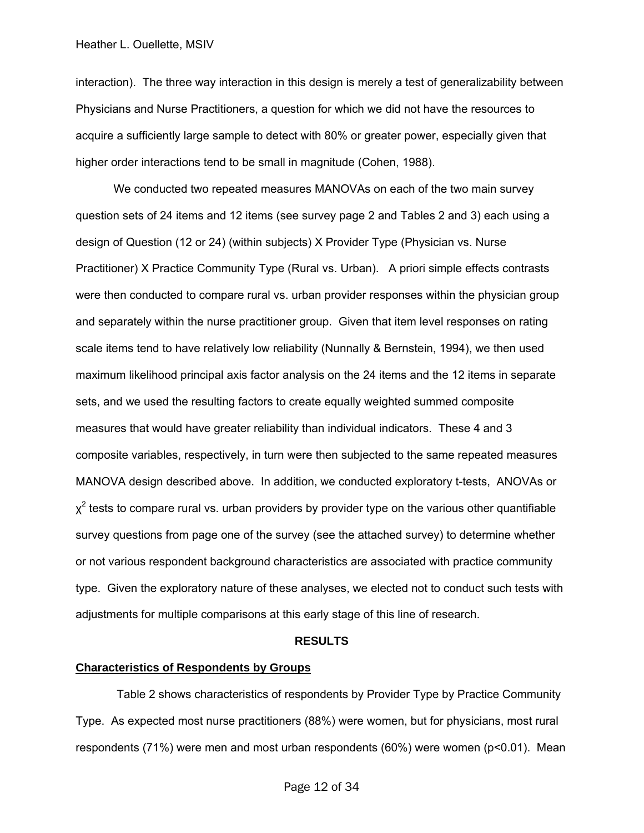interaction). The three way interaction in this design is merely a test of generalizability between Physicians and Nurse Practitioners, a question for which we did not have the resources to acquire a sufficiently large sample to detect with 80% or greater power, especially given that higher order interactions tend to be small in magnitude (Cohen, 1988).

 We conducted two repeated measures MANOVAs on each of the two main survey question sets of 24 items and 12 items (see survey page 2 and Tables 2 and 3) each using a design of Question (12 or 24) (within subjects) X Provider Type (Physician vs. Nurse Practitioner) X Practice Community Type (Rural vs. Urban). A priori simple effects contrasts were then conducted to compare rural vs. urban provider responses within the physician group and separately within the nurse practitioner group. Given that item level responses on rating scale items tend to have relatively low reliability (Nunnally & Bernstein, 1994), we then used maximum likelihood principal axis factor analysis on the 24 items and the 12 items in separate sets, and we used the resulting factors to create equally weighted summed composite measures that would have greater reliability than individual indicators. These 4 and 3 composite variables, respectively, in turn were then subjected to the same repeated measures MANOVA design described above. In addition, we conducted exploratory t-tests, ANOVAs or  $\chi^2$  tests to compare rural vs. urban providers by provider type on the various other quantifiable survey questions from page one of the survey (see the attached survey) to determine whether or not various respondent background characteristics are associated with practice community type. Given the exploratory nature of these analyses, we elected not to conduct such tests with adjustments for multiple comparisons at this early stage of this line of research.

#### **RESULTS**

#### **Characteristics of Respondents by Groups**

 Table 2 shows characteristics of respondents by Provider Type by Practice Community Type. As expected most nurse practitioners (88%) were women, but for physicians, most rural respondents (71%) were men and most urban respondents (60%) were women (p<0.01). Mean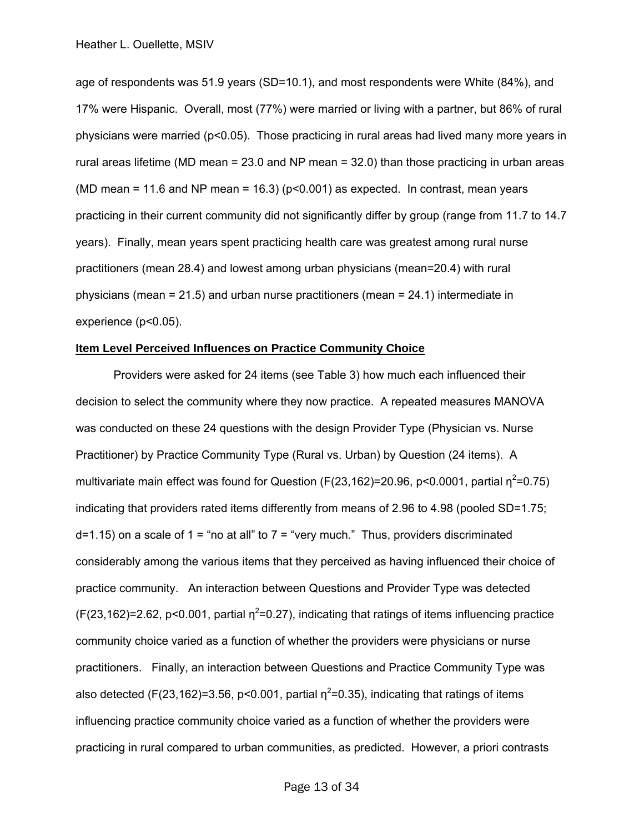age of respondents was 51.9 years (SD=10.1), and most respondents were White (84%), and 17% were Hispanic. Overall, most (77%) were married or living with a partner, but 86% of rural physicians were married (p<0.05). Those practicing in rural areas had lived many more years in rural areas lifetime (MD mean = 23.0 and NP mean = 32.0) than those practicing in urban areas (MD mean = 11.6 and NP mean = 16.3) ( $p<0.001$ ) as expected. In contrast, mean years practicing in their current community did not significantly differ by group (range from 11.7 to 14.7 years). Finally, mean years spent practicing health care was greatest among rural nurse practitioners (mean 28.4) and lowest among urban physicians (mean=20.4) with rural physicians (mean = 21.5) and urban nurse practitioners (mean = 24.1) intermediate in experience (p<0.05).

#### **Item Level Perceived Influences on Practice Community Choice**

 Providers were asked for 24 items (see Table 3) how much each influenced their decision to select the community where they now practice. A repeated measures MANOVA was conducted on these 24 questions with the design Provider Type (Physician vs. Nurse Practitioner) by Practice Community Type (Rural vs. Urban) by Question (24 items). A multivariate main effect was found for Question (F(23,162)=20.96, p<0.0001, partial  $\eta^2$ =0.75) indicating that providers rated items differently from means of 2.96 to 4.98 (pooled SD=1.75;  $d=1.15$ ) on a scale of  $1 =$  "no at all" to  $7 =$  "very much." Thus, providers discriminated considerably among the various items that they perceived as having influenced their choice of practice community. An interaction between Questions and Provider Type was detected  $(F(23, 162)=2.62, p<0.001,$  partial  $\eta^2=0.27$ ), indicating that ratings of items influencing practice community choice varied as a function of whether the providers were physicians or nurse practitioners. Finally, an interaction between Questions and Practice Community Type was also detected (F(23,162)=3.56, p<0.001, partial  $\eta^2$ =0.35), indicating that ratings of items influencing practice community choice varied as a function of whether the providers were practicing in rural compared to urban communities, as predicted. However, a priori contrasts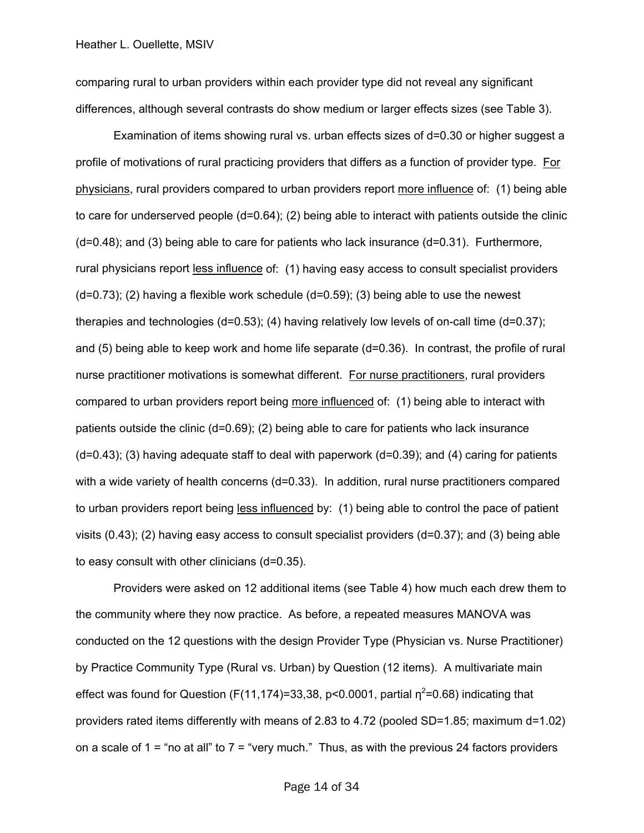comparing rural to urban providers within each provider type did not reveal any significant differences, although several contrasts do show medium or larger effects sizes (see Table 3).

Examination of items showing rural vs. urban effects sizes of d=0.30 or higher suggest a profile of motivations of rural practicing providers that differs as a function of provider type. For physicians, rural providers compared to urban providers report more influence of: (1) being able to care for underserved people (d=0.64); (2) being able to interact with patients outside the clinic (d=0.48); and (3) being able to care for patients who lack insurance (d=0.31). Furthermore, rural physicians report less influence of: (1) having easy access to consult specialist providers  $(d=0.73)$ ; (2) having a flexible work schedule  $(d=0.59)$ ; (3) being able to use the newest therapies and technologies (d=0.53); (4) having relatively low levels of on-call time (d=0.37); and (5) being able to keep work and home life separate (d=0.36). In contrast, the profile of rural nurse practitioner motivations is somewhat different. For nurse practitioners, rural providers compared to urban providers report being more influenced of: (1) being able to interact with patients outside the clinic (d=0.69); (2) being able to care for patients who lack insurance  $(d=0.43)$ ; (3) having adequate staff to deal with paperwork  $(d=0.39)$ ; and (4) caring for patients with a wide variety of health concerns (d=0.33). In addition, rural nurse practitioners compared to urban providers report being less influenced by: (1) being able to control the pace of patient visits (0.43); (2) having easy access to consult specialist providers (d=0.37); and (3) being able to easy consult with other clinicians (d=0.35).

Providers were asked on 12 additional items (see Table 4) how much each drew them to the community where they now practice. As before, a repeated measures MANOVA was conducted on the 12 questions with the design Provider Type (Physician vs. Nurse Practitioner) by Practice Community Type (Rural vs. Urban) by Question (12 items). A multivariate main effect was found for Question (F(11,174)=33,38, p<0.0001, partial  $\eta^2$ =0.68) indicating that providers rated items differently with means of 2.83 to 4.72 (pooled SD=1.85; maximum d=1.02) on a scale of  $1 =$  "no at all" to  $7 =$  "very much." Thus, as with the previous 24 factors providers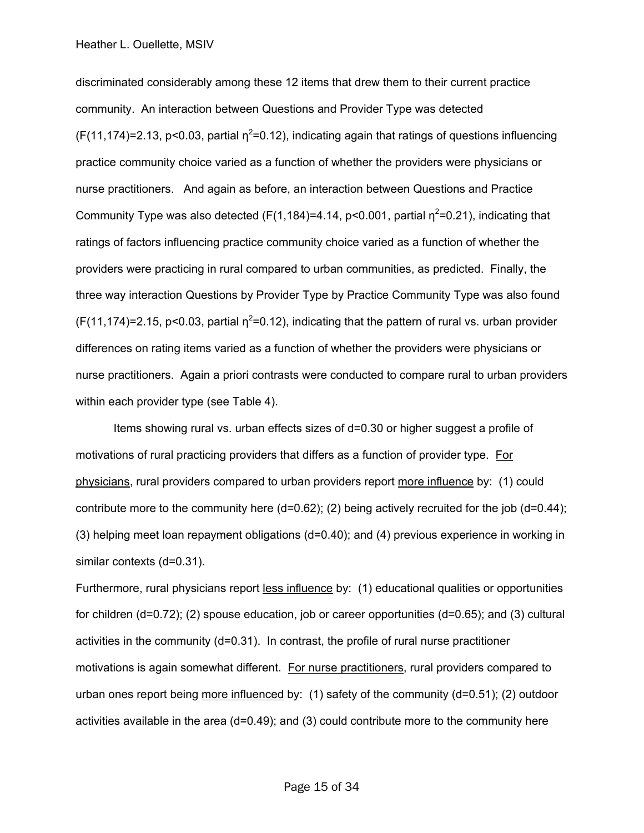discriminated considerably among these 12 items that drew them to their current practice community. An interaction between Questions and Provider Type was detected  $(F(11, 174)=2.13, p<0.03,$  partial  $n^2=0.12$ ), indicating again that ratings of questions influencing practice community choice varied as a function of whether the providers were physicians or nurse practitioners. And again as before, an interaction between Questions and Practice Community Type was also detected (F(1,184)=4.14, p<0.001, partial  $\eta^2$ =0.21), indicating that ratings of factors influencing practice community choice varied as a function of whether the providers were practicing in rural compared to urban communities, as predicted. Finally, the three way interaction Questions by Provider Type by Practice Community Type was also found  $(F(11, 174)=2.15, p<0.03,$  partial  $n^2=0.12$ ), indicating that the pattern of rural vs. urban provider differences on rating items varied as a function of whether the providers were physicians or nurse practitioners. Again a priori contrasts were conducted to compare rural to urban providers within each provider type (see Table 4).

Items showing rural vs. urban effects sizes of d=0.30 or higher suggest a profile of motivations of rural practicing providers that differs as a function of provider type. For physicians, rural providers compared to urban providers report more influence by: (1) could contribute more to the community here  $(d=0.62)$ ; (2) being actively recruited for the job  $(d=0.44)$ ; (3) helping meet loan repayment obligations (d=0.40); and (4) previous experience in working in similar contexts (d=0.31).

Furthermore, rural physicians report less influence by: (1) educational qualities or opportunities for children  $(d=0.72)$ ; (2) spouse education, job or career opportunities  $(d=0.65)$ ; and (3) cultural activities in the community  $(d=0.31)$ . In contrast, the profile of rural nurse practitioner motivations is again somewhat different. For nurse practitioners, rural providers compared to urban ones report being more influenced by: (1) safety of the community (d=0.51); (2) outdoor activities available in the area (d=0.49); and (3) could contribute more to the community here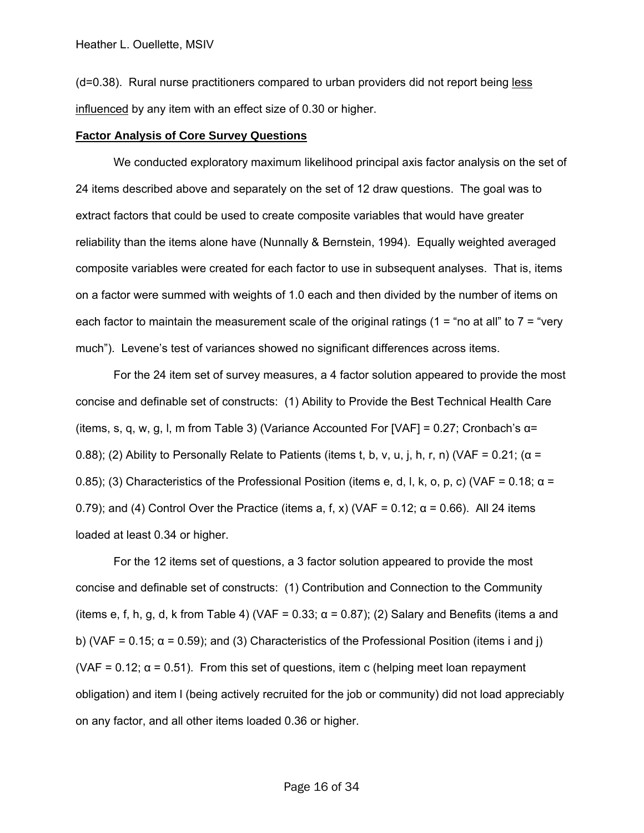(d=0.38). Rural nurse practitioners compared to urban providers did not report being less influenced by any item with an effect size of 0.30 or higher.

#### **Factor Analysis of Core Survey Questions**

 We conducted exploratory maximum likelihood principal axis factor analysis on the set of 24 items described above and separately on the set of 12 draw questions. The goal was to extract factors that could be used to create composite variables that would have greater reliability than the items alone have (Nunnally & Bernstein, 1994). Equally weighted averaged composite variables were created for each factor to use in subsequent analyses. That is, items on a factor were summed with weights of 1.0 each and then divided by the number of items on each factor to maintain the measurement scale of the original ratings ( $1 =$  "no at all" to  $7 =$  "very much"). Levene's test of variances showed no significant differences across items.

For the 24 item set of survey measures, a 4 factor solution appeared to provide the most concise and definable set of constructs: (1) Ability to Provide the Best Technical Health Care (items, s, q, w, g, l, m from Table 3) (Variance Accounted For [VAF] = 0.27; Cronbach's  $\alpha$ = 0.88); (2) Ability to Personally Relate to Patients (items t, b, v, u, j, h, r, n) (VAF = 0.21; ( $\alpha$  = 0.85); (3) Characteristics of the Professional Position (items e, d, l, k, o, p, c) (VAF = 0.18;  $\alpha$  = 0.79); and (4) Control Over the Practice (items a, f, x) (VAF = 0.12;  $\alpha$  = 0.66). All 24 items loaded at least 0.34 or higher.

For the 12 items set of questions, a 3 factor solution appeared to provide the most concise and definable set of constructs: (1) Contribution and Connection to the Community (items e, f, h, g, d, k from Table 4) (VAF = 0.33;  $\alpha$  = 0.87); (2) Salary and Benefits (items a and b) (VAF = 0.15;  $\alpha$  = 0.59); and (3) Characteristics of the Professional Position (items i and j) (VAF = 0.12;  $\alpha$  = 0.51). From this set of questions, item c (helping meet loan repayment obligation) and item l (being actively recruited for the job or community) did not load appreciably on any factor, and all other items loaded 0.36 or higher.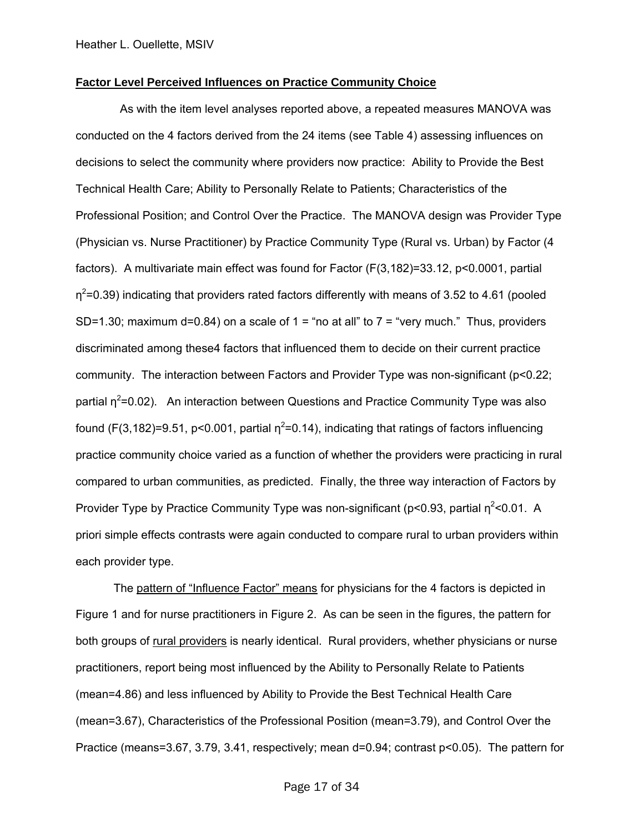#### **Factor Level Perceived Influences on Practice Community Choice**

 As with the item level analyses reported above, a repeated measures MANOVA was conducted on the 4 factors derived from the 24 items (see Table 4) assessing influences on decisions to select the community where providers now practice: Ability to Provide the Best Technical Health Care; Ability to Personally Relate to Patients; Characteristics of the Professional Position; and Control Over the Practice. The MANOVA design was Provider Type (Physician vs. Nurse Practitioner) by Practice Community Type (Rural vs. Urban) by Factor (4 factors). A multivariate main effect was found for Factor (F(3,182)=33.12, p<0.0001, partial  $\eta^2$ =0.39) indicating that providers rated factors differently with means of 3.52 to 4.61 (pooled SD=1.30; maximum d=0.84) on a scale of  $1 =$  "no at all" to  $7 =$  "very much." Thus, providers discriminated among these4 factors that influenced them to decide on their current practice community. The interaction between Factors and Provider Type was non-significant (p<0.22; partial  $\eta^2$ =0.02). An interaction between Questions and Practice Community Type was also found (F(3,182)=9.51, p<0.001, partial  $\eta^2$ =0.14), indicating that ratings of factors influencing practice community choice varied as a function of whether the providers were practicing in rural compared to urban communities, as predicted. Finally, the three way interaction of Factors by Provider Type by Practice Community Type was non-significant (p<0.93, partial  $\eta^2$ <0.01. A priori simple effects contrasts were again conducted to compare rural to urban providers within each provider type.

 The pattern of "Influence Factor" means for physicians for the 4 factors is depicted in Figure 1 and for nurse practitioners in Figure 2. As can be seen in the figures, the pattern for both groups of rural providers is nearly identical. Rural providers, whether physicians or nurse practitioners, report being most influenced by the Ability to Personally Relate to Patients (mean=4.86) and less influenced by Ability to Provide the Best Technical Health Care (mean=3.67), Characteristics of the Professional Position (mean=3.79), and Control Over the Practice (means=3.67, 3.79, 3.41, respectively; mean d=0.94; contrast p<0.05). The pattern for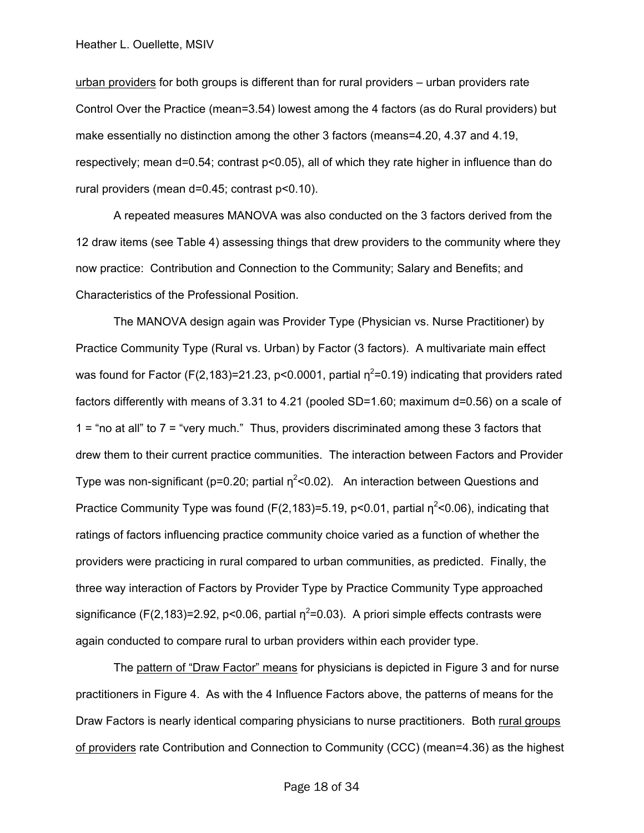urban providers for both groups is different than for rural providers – urban providers rate Control Over the Practice (mean=3.54) lowest among the 4 factors (as do Rural providers) but make essentially no distinction among the other 3 factors (means=4.20, 4.37 and 4.19, respectively; mean d=0.54; contrast p<0.05), all of which they rate higher in influence than do rural providers (mean d=0.45; contrast p<0.10).

A repeated measures MANOVA was also conducted on the 3 factors derived from the 12 draw items (see Table 4) assessing things that drew providers to the community where they now practice: Contribution and Connection to the Community; Salary and Benefits; and Characteristics of the Professional Position.

The MANOVA design again was Provider Type (Physician vs. Nurse Practitioner) by Practice Community Type (Rural vs. Urban) by Factor (3 factors). A multivariate main effect was found for Factor (F(2,183)=21.23, p<0.0001, partial  $\eta^2$ =0.19) indicating that providers rated factors differently with means of 3.31 to 4.21 (pooled SD=1.60; maximum d=0.56) on a scale of 1 = "no at all" to 7 = "very much." Thus, providers discriminated among these 3 factors that drew them to their current practice communities. The interaction between Factors and Provider Type was non-significant (p=0.20; partial  $\eta^2$ <0.02). An interaction between Questions and Practice Community Type was found (F(2,183)=5.19, p<0.01, partial  $\eta^2$ <0.06), indicating that ratings of factors influencing practice community choice varied as a function of whether the providers were practicing in rural compared to urban communities, as predicted. Finally, the three way interaction of Factors by Provider Type by Practice Community Type approached significance (F(2,183)=2.92, p<0.06, partial  $\eta^2$ =0.03). A priori simple effects contrasts were again conducted to compare rural to urban providers within each provider type.

 The pattern of "Draw Factor" means for physicians is depicted in Figure 3 and for nurse practitioners in Figure 4. As with the 4 Influence Factors above, the patterns of means for the Draw Factors is nearly identical comparing physicians to nurse practitioners. Both rural groups of providers rate Contribution and Connection to Community (CCC) (mean=4.36) as the highest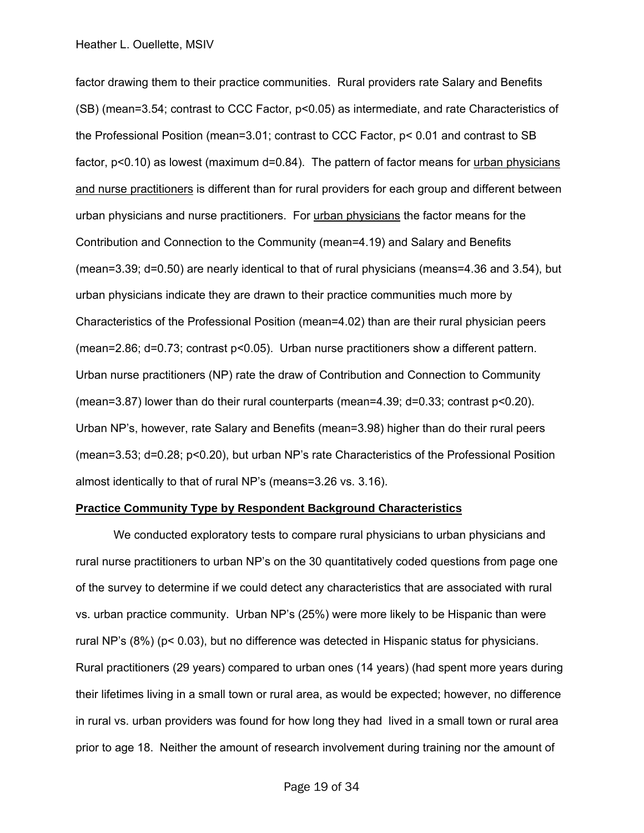factor drawing them to their practice communities. Rural providers rate Salary and Benefits (SB) (mean=3.54; contrast to CCC Factor, p<0.05) as intermediate, and rate Characteristics of the Professional Position (mean=3.01; contrast to CCC Factor, p< 0.01 and contrast to SB factor, p<0.10) as lowest (maximum d=0.84). The pattern of factor means for urban physicians and nurse practitioners is different than for rural providers for each group and different between urban physicians and nurse practitioners. For urban physicians the factor means for the Contribution and Connection to the Community (mean=4.19) and Salary and Benefits (mean=3.39; d=0.50) are nearly identical to that of rural physicians (means=4.36 and 3.54), but urban physicians indicate they are drawn to their practice communities much more by Characteristics of the Professional Position (mean=4.02) than are their rural physician peers (mean=2.86; d=0.73; contrast p<0.05). Urban nurse practitioners show a different pattern. Urban nurse practitioners (NP) rate the draw of Contribution and Connection to Community (mean=3.87) lower than do their rural counterparts (mean=4.39; d=0.33; contrast p<0.20). Urban NP's, however, rate Salary and Benefits (mean=3.98) higher than do their rural peers (mean=3.53; d=0.28; p<0.20), but urban NP's rate Characteristics of the Professional Position almost identically to that of rural NP's (means=3.26 vs. 3.16).

#### **Practice Community Type by Respondent Background Characteristics**

 We conducted exploratory tests to compare rural physicians to urban physicians and rural nurse practitioners to urban NP's on the 30 quantitatively coded questions from page one of the survey to determine if we could detect any characteristics that are associated with rural vs. urban practice community. Urban NP's (25%) were more likely to be Hispanic than were rural NP's (8%) (p< 0.03), but no difference was detected in Hispanic status for physicians. Rural practitioners (29 years) compared to urban ones (14 years) (had spent more years during their lifetimes living in a small town or rural area, as would be expected; however, no difference in rural vs. urban providers was found for how long they had lived in a small town or rural area prior to age 18. Neither the amount of research involvement during training nor the amount of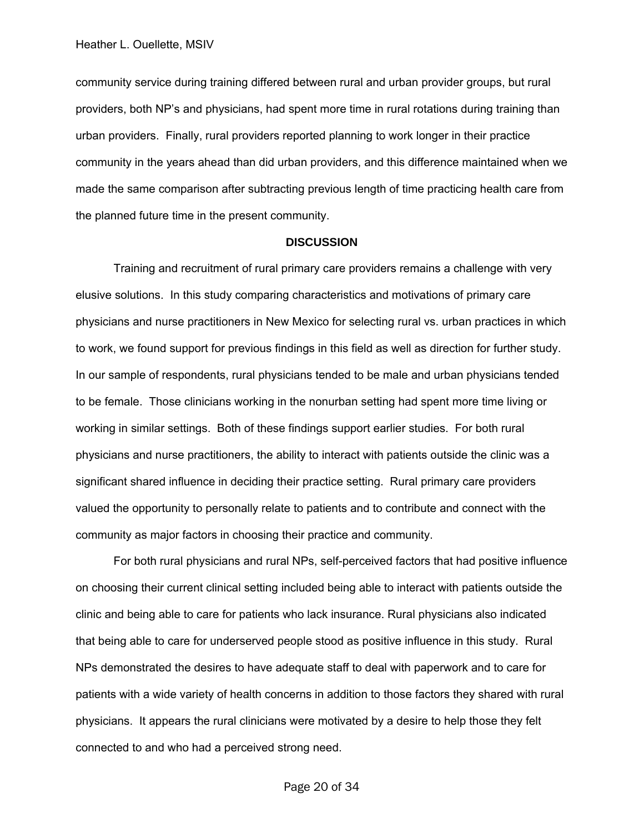community service during training differed between rural and urban provider groups, but rural providers, both NP's and physicians, had spent more time in rural rotations during training than urban providers. Finally, rural providers reported planning to work longer in their practice community in the years ahead than did urban providers, and this difference maintained when we made the same comparison after subtracting previous length of time practicing health care from the planned future time in the present community.

#### **DISCUSSION**

 Training and recruitment of rural primary care providers remains a challenge with very elusive solutions. In this study comparing characteristics and motivations of primary care physicians and nurse practitioners in New Mexico for selecting rural vs. urban practices in which to work, we found support for previous findings in this field as well as direction for further study. In our sample of respondents, rural physicians tended to be male and urban physicians tended to be female. Those clinicians working in the nonurban setting had spent more time living or working in similar settings. Both of these findings support earlier studies. For both rural physicians and nurse practitioners, the ability to interact with patients outside the clinic was a significant shared influence in deciding their practice setting. Rural primary care providers valued the opportunity to personally relate to patients and to contribute and connect with the community as major factors in choosing their practice and community.

 For both rural physicians and rural NPs, self-perceived factors that had positive influence on choosing their current clinical setting included being able to interact with patients outside the clinic and being able to care for patients who lack insurance. Rural physicians also indicated that being able to care for underserved people stood as positive influence in this study. Rural NPs demonstrated the desires to have adequate staff to deal with paperwork and to care for patients with a wide variety of health concerns in addition to those factors they shared with rural physicians. It appears the rural clinicians were motivated by a desire to help those they felt connected to and who had a perceived strong need.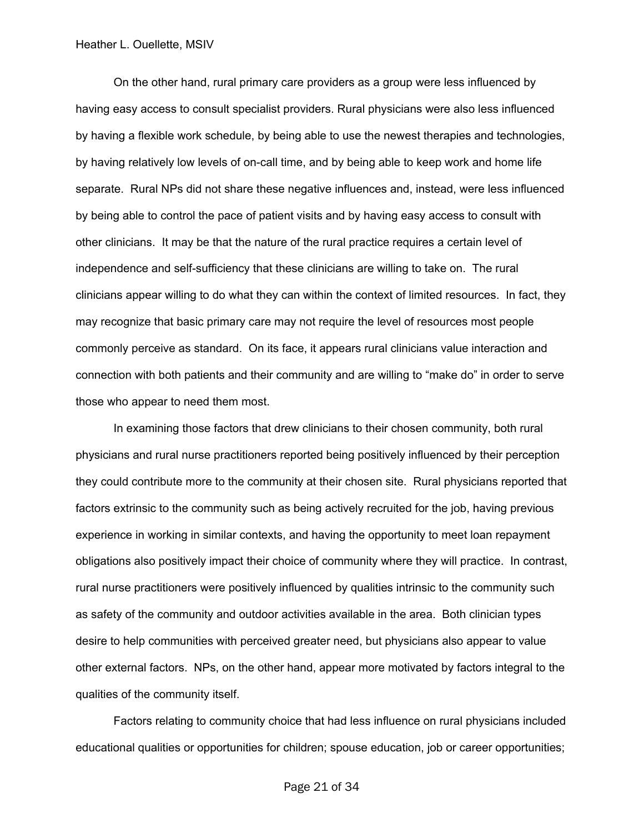On the other hand, rural primary care providers as a group were less influenced by having easy access to consult specialist providers. Rural physicians were also less influenced by having a flexible work schedule, by being able to use the newest therapies and technologies, by having relatively low levels of on-call time, and by being able to keep work and home life separate. Rural NPs did not share these negative influences and, instead, were less influenced by being able to control the pace of patient visits and by having easy access to consult with other clinicians. It may be that the nature of the rural practice requires a certain level of independence and self-sufficiency that these clinicians are willing to take on. The rural clinicians appear willing to do what they can within the context of limited resources. In fact, they may recognize that basic primary care may not require the level of resources most people commonly perceive as standard. On its face, it appears rural clinicians value interaction and connection with both patients and their community and are willing to "make do" in order to serve those who appear to need them most.

 In examining those factors that drew clinicians to their chosen community, both rural physicians and rural nurse practitioners reported being positively influenced by their perception they could contribute more to the community at their chosen site. Rural physicians reported that factors extrinsic to the community such as being actively recruited for the job, having previous experience in working in similar contexts, and having the opportunity to meet loan repayment obligations also positively impact their choice of community where they will practice. In contrast, rural nurse practitioners were positively influenced by qualities intrinsic to the community such as safety of the community and outdoor activities available in the area. Both clinician types desire to help communities with perceived greater need, but physicians also appear to value other external factors. NPs, on the other hand, appear more motivated by factors integral to the qualities of the community itself.

 Factors relating to community choice that had less influence on rural physicians included educational qualities or opportunities for children; spouse education, job or career opportunities;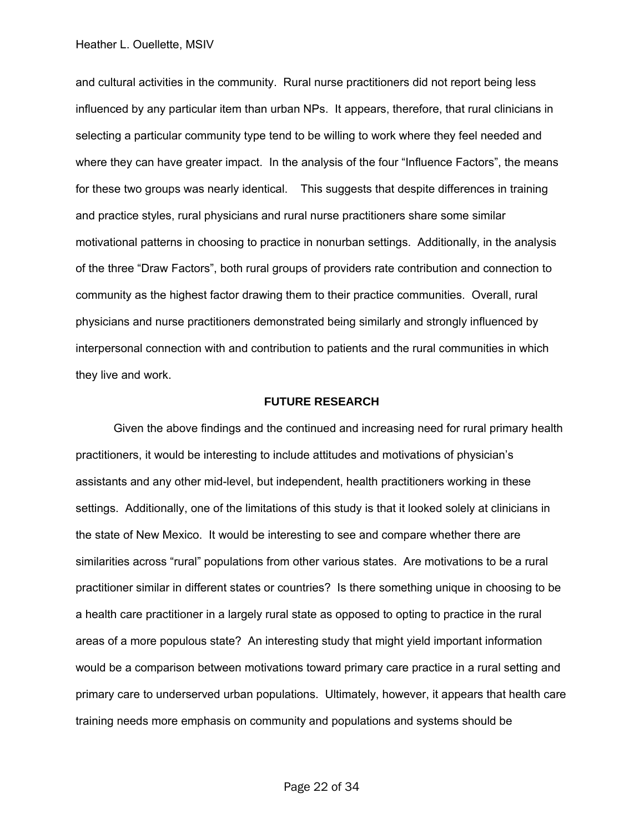and cultural activities in the community. Rural nurse practitioners did not report being less influenced by any particular item than urban NPs. It appears, therefore, that rural clinicians in selecting a particular community type tend to be willing to work where they feel needed and where they can have greater impact. In the analysis of the four "Influence Factors", the means for these two groups was nearly identical. This suggests that despite differences in training and practice styles, rural physicians and rural nurse practitioners share some similar motivational patterns in choosing to practice in nonurban settings. Additionally, in the analysis of the three "Draw Factors", both rural groups of providers rate contribution and connection to community as the highest factor drawing them to their practice communities. Overall, rural physicians and nurse practitioners demonstrated being similarly and strongly influenced by interpersonal connection with and contribution to patients and the rural communities in which they live and work.

#### **FUTURE RESEARCH**

 Given the above findings and the continued and increasing need for rural primary health practitioners, it would be interesting to include attitudes and motivations of physician's assistants and any other mid-level, but independent, health practitioners working in these settings. Additionally, one of the limitations of this study is that it looked solely at clinicians in the state of New Mexico. It would be interesting to see and compare whether there are similarities across "rural" populations from other various states. Are motivations to be a rural practitioner similar in different states or countries? Is there something unique in choosing to be a health care practitioner in a largely rural state as opposed to opting to practice in the rural areas of a more populous state? An interesting study that might yield important information would be a comparison between motivations toward primary care practice in a rural setting and primary care to underserved urban populations. Ultimately, however, it appears that health care training needs more emphasis on community and populations and systems should be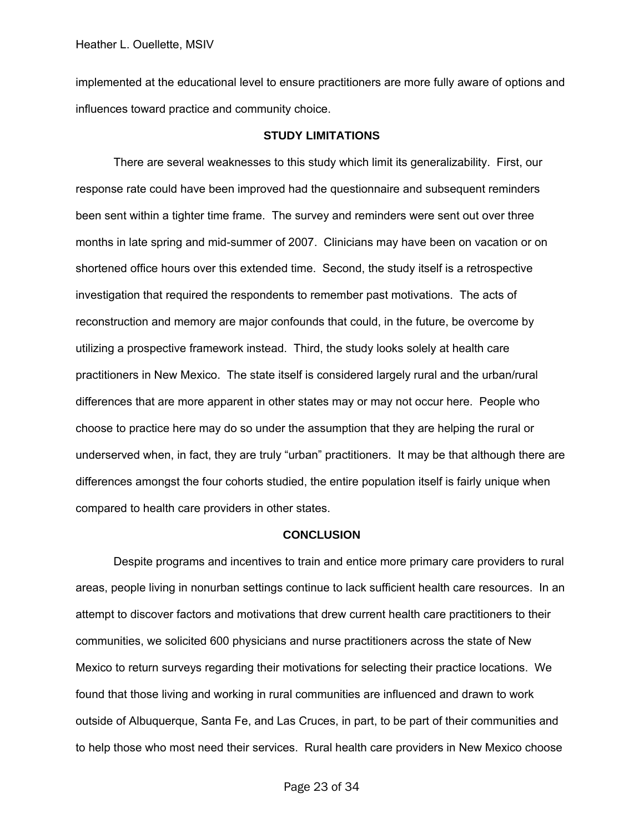implemented at the educational level to ensure practitioners are more fully aware of options and influences toward practice and community choice.

#### **STUDY LIMITATIONS**

 There are several weaknesses to this study which limit its generalizability. First, our response rate could have been improved had the questionnaire and subsequent reminders been sent within a tighter time frame. The survey and reminders were sent out over three months in late spring and mid-summer of 2007. Clinicians may have been on vacation or on shortened office hours over this extended time. Second, the study itself is a retrospective investigation that required the respondents to remember past motivations. The acts of reconstruction and memory are major confounds that could, in the future, be overcome by utilizing a prospective framework instead. Third, the study looks solely at health care practitioners in New Mexico. The state itself is considered largely rural and the urban/rural differences that are more apparent in other states may or may not occur here. People who choose to practice here may do so under the assumption that they are helping the rural or underserved when, in fact, they are truly "urban" practitioners. It may be that although there are differences amongst the four cohorts studied, the entire population itself is fairly unique when compared to health care providers in other states.

#### **CONCLUSION**

 Despite programs and incentives to train and entice more primary care providers to rural areas, people living in nonurban settings continue to lack sufficient health care resources. In an attempt to discover factors and motivations that drew current health care practitioners to their communities, we solicited 600 physicians and nurse practitioners across the state of New Mexico to return surveys regarding their motivations for selecting their practice locations. We found that those living and working in rural communities are influenced and drawn to work outside of Albuquerque, Santa Fe, and Las Cruces, in part, to be part of their communities and to help those who most need their services. Rural health care providers in New Mexico choose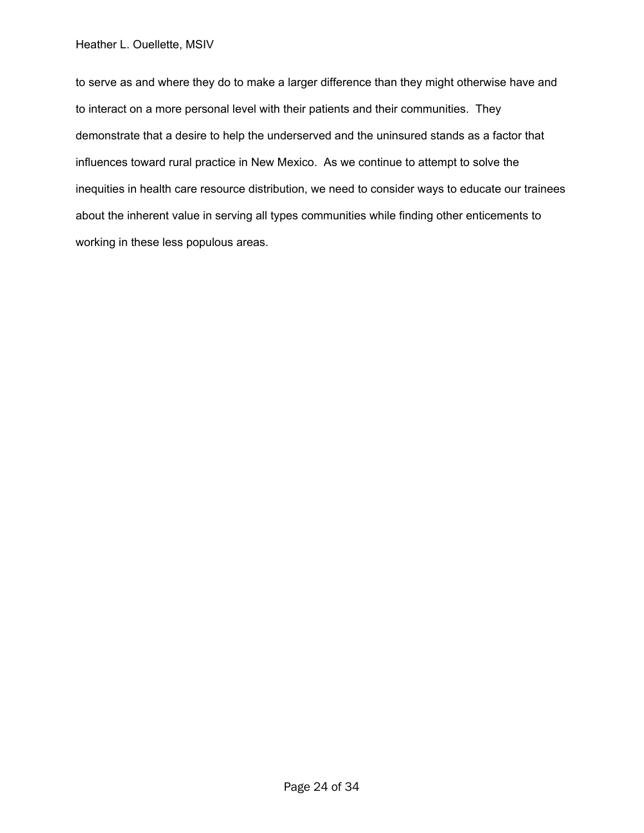to serve as and where they do to make a larger difference than they might otherwise have and to interact on a more personal level with their patients and their communities. They demonstrate that a desire to help the underserved and the uninsured stands as a factor that influences toward rural practice in New Mexico. As we continue to attempt to solve the inequities in health care resource distribution, we need to consider ways to educate our trainees about the inherent value in serving all types communities while finding other enticements to working in these less populous areas.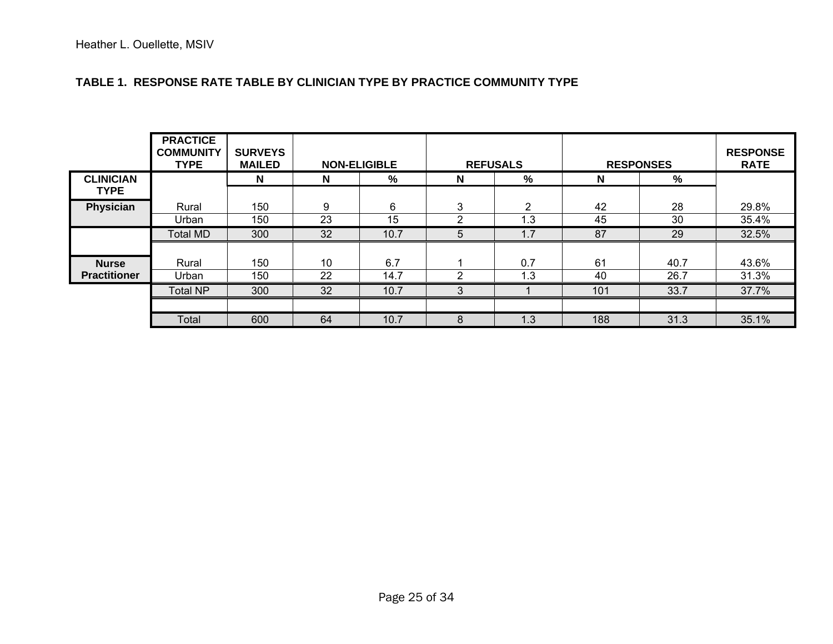### **TABLE 1. RESPONSE RATE TABLE BY CLINICIAN TYPE BY PRACTICE COMMUNITY TYPE**

|                                     | <b>PRACTICE</b><br><b>COMMUNITY</b><br><b>TYPE</b> | <b>SURVEYS</b><br><b>MAILED</b> | <b>NON-ELIGIBLE</b> |             |                     | <b>REFUSALS</b> | <b>RESPONSES</b> | <b>RESPONSE</b><br><b>RATE</b> |                |
|-------------------------------------|----------------------------------------------------|---------------------------------|---------------------|-------------|---------------------|-----------------|------------------|--------------------------------|----------------|
| <b>CLINICIAN</b><br><b>TYPE</b>     |                                                    | N                               | N                   | %           | N                   | %               | N                | %                              |                |
| Physician                           | Rural<br>Urban                                     | 150<br>150                      | 9<br>23             | 6<br>15     | 3<br>$\overline{2}$ | 2<br>1.3        | 42<br>45         | 28<br>30                       | 29.8%<br>35.4% |
|                                     | Total MD                                           | 300                             | 32                  | 10.7        | 5                   | 1.7             | 87               | 29                             | 32.5%          |
| <b>Nurse</b><br><b>Practitioner</b> | Rural<br>Urban                                     | 150<br>150                      | 10<br>22            | 6.7<br>14.7 | 2                   | 0.7<br>1.3      | 61<br>40         | 40.7<br>26.7                   | 43.6%<br>31.3% |
|                                     | <b>Total NP</b>                                    | 300                             | 32                  | 10.7        | 3                   |                 | 101              | 33.7                           | 37.7%          |
|                                     |                                                    |                                 |                     |             |                     |                 |                  |                                |                |
|                                     | Total                                              | 600                             | 64                  | 10.7        | 8                   | 1.3             | 188              | 31.3                           | 35.1%          |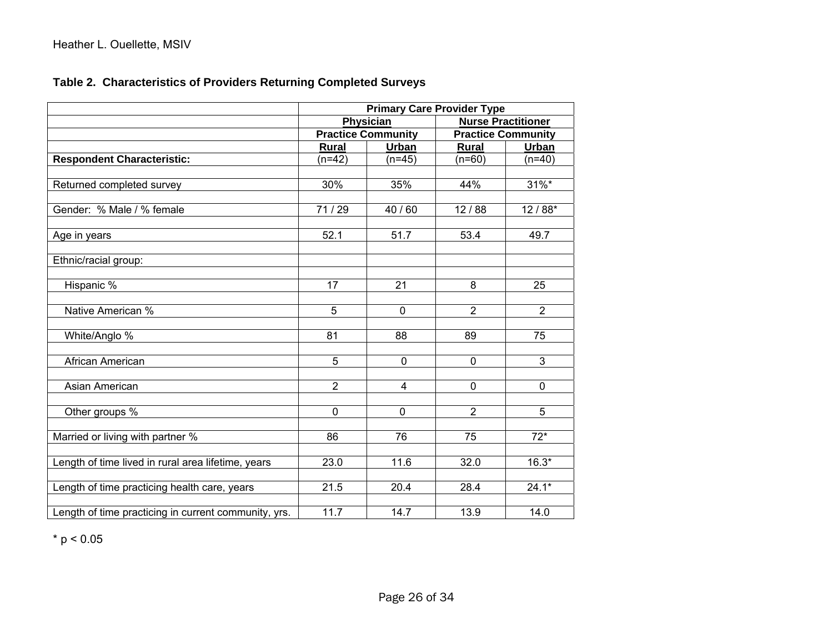# **Table 2. Characteristics of Providers Returning Completed Surveys**

|                                                      | <b>Primary Care Provider Type</b> |                           |                           |                           |  |  |  |  |  |
|------------------------------------------------------|-----------------------------------|---------------------------|---------------------------|---------------------------|--|--|--|--|--|
|                                                      |                                   | <b>Physician</b>          | <b>Nurse Practitioner</b> |                           |  |  |  |  |  |
|                                                      |                                   | <b>Practice Community</b> |                           | <b>Practice Community</b> |  |  |  |  |  |
|                                                      | <b>Rural</b>                      | Urban                     | <b>Rural</b>              | Urban                     |  |  |  |  |  |
| <b>Respondent Characteristic:</b>                    | $(n=42)$                          | $(n=45)$                  | $(n=60)$                  | $(n=40)$                  |  |  |  |  |  |
|                                                      |                                   |                           |                           |                           |  |  |  |  |  |
| Returned completed survey                            | 30%                               | 35%                       | 44%                       | $31\%$ *                  |  |  |  |  |  |
|                                                      |                                   |                           |                           |                           |  |  |  |  |  |
| Gender: % Male / % female                            | 71/29                             | 40/60                     | 12/88                     | $12/88*$                  |  |  |  |  |  |
|                                                      |                                   |                           |                           |                           |  |  |  |  |  |
| Age in years                                         | 52.1                              | 51.7                      | 53.4                      | 49.7                      |  |  |  |  |  |
|                                                      |                                   |                           |                           |                           |  |  |  |  |  |
| Ethnic/racial group:                                 |                                   |                           |                           |                           |  |  |  |  |  |
|                                                      |                                   |                           |                           |                           |  |  |  |  |  |
| Hispanic %                                           | $\overline{17}$                   | 21                        | 8                         | 25                        |  |  |  |  |  |
|                                                      |                                   |                           |                           |                           |  |  |  |  |  |
| Native American %                                    | $\overline{5}$                    | $\mathbf 0$               | $\overline{2}$            | $\overline{2}$            |  |  |  |  |  |
|                                                      |                                   |                           |                           |                           |  |  |  |  |  |
| White/Anglo %                                        | 81                                | 88                        | 89                        | 75                        |  |  |  |  |  |
|                                                      |                                   |                           |                           |                           |  |  |  |  |  |
| African American                                     | 5                                 | $\mathbf 0$               | $\mathbf 0$               | 3                         |  |  |  |  |  |
|                                                      |                                   |                           |                           |                           |  |  |  |  |  |
| Asian American                                       | $\overline{2}$                    | $\overline{4}$            | $\mathbf 0$               | $\overline{0}$            |  |  |  |  |  |
|                                                      |                                   |                           |                           |                           |  |  |  |  |  |
| Other groups %                                       | $\mathbf 0$                       | $\mathbf 0$               | $\overline{2}$            | 5                         |  |  |  |  |  |
|                                                      |                                   |                           |                           |                           |  |  |  |  |  |
| Married or living with partner %                     | 86                                | 76                        | 75                        | $\overline{72}$ *         |  |  |  |  |  |
|                                                      |                                   |                           |                           |                           |  |  |  |  |  |
| Length of time lived in rural area lifetime, years   | 23.0                              | 11.6                      | 32.0                      | $16.3*$                   |  |  |  |  |  |
|                                                      |                                   |                           |                           |                           |  |  |  |  |  |
| Length of time practicing health care, years         | 21.5                              | 20.4                      | 28.4                      | $24.1*$                   |  |  |  |  |  |
|                                                      |                                   |                           |                           |                           |  |  |  |  |  |
| Length of time practicing in current community, yrs. | 11.7                              | 14.7                      | 13.9                      | 14.0                      |  |  |  |  |  |

 $*$  p < 0.05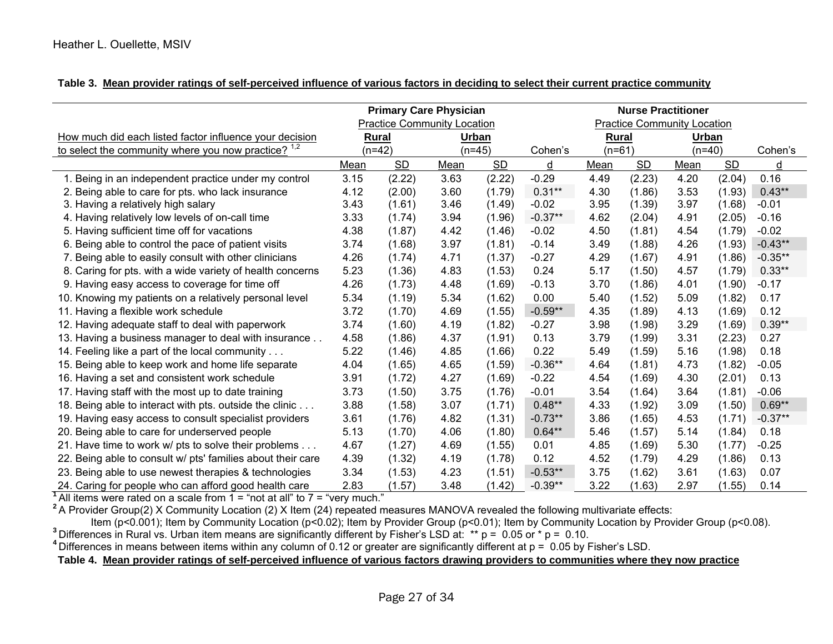|  |  |  |  |  |  |  |  | Table 3. Mean provider ratings of self-perceived influence of various factors in deciding to select their current practice community |  |
|--|--|--|--|--|--|--|--|--------------------------------------------------------------------------------------------------------------------------------------|--|
|--|--|--|--|--|--|--|--|--------------------------------------------------------------------------------------------------------------------------------------|--|

|                                                                                                                                      |                   | <b>Primary Care Physician</b>      | <b>Nurse Practitioner</b><br><b>Practice Community Location</b> |           |           |          |           |          |           |           |
|--------------------------------------------------------------------------------------------------------------------------------------|-------------------|------------------------------------|-----------------------------------------------------------------|-----------|-----------|----------|-----------|----------|-----------|-----------|
|                                                                                                                                      |                   | <b>Practice Community Location</b> |                                                                 |           |           |          |           |          |           |           |
| How much did each listed factor influence your decision                                                                              | <b>Rural</b>      |                                    | Urban                                                           |           |           | Rural    |           | Urban    |           |           |
| to select the community where you now practice? <sup>1,2</sup>                                                                       | $(n=42)$          |                                    | $(n=45)$                                                        |           | Cohen's   | $(n=61)$ |           | $(n=40)$ |           | Cohen's   |
|                                                                                                                                      | <b>SD</b><br>Mean |                                    | Mean                                                            | <b>SD</b> | d         | Mean     | <b>SD</b> | Mean     | <b>SD</b> | d         |
| 1. Being in an independent practice under my control                                                                                 | 3.15              | (2.22)                             | 3.63                                                            | (2.22)    | $-0.29$   | 4.49     | (2.23)    | 4.20     | (2.04)    | 0.16      |
| 2. Being able to care for pts. who lack insurance                                                                                    | 4.12              | (2.00)                             | 3.60                                                            | (1.79)    | $0.31***$ | 4.30     | (1.86)    | 3.53     | (1.93)    | $0.43**$  |
| 3. Having a relatively high salary                                                                                                   | 3.43              | (1.61)                             | 3.46                                                            | (1.49)    | $-0.02$   | 3.95     | (1.39)    | 3.97     | (1.68)    | $-0.01$   |
| 4. Having relatively low levels of on-call time                                                                                      | 3.33              | (1.74)                             | 3.94                                                            | (1.96)    | $-0.37**$ | 4.62     | (2.04)    | 4.91     | (2.05)    | $-0.16$   |
| 5. Having sufficient time off for vacations                                                                                          | 4.38              | (1.87)                             | 4.42                                                            | (1.46)    | $-0.02$   | 4.50     | (1.81)    | 4.54     | (1.79)    | $-0.02$   |
| 6. Being able to control the pace of patient visits                                                                                  | 3.74              | (1.68)                             | 3.97                                                            | (1.81)    | $-0.14$   | 3.49     | (1.88)    | 4.26     | (1.93)    | $-0.43**$ |
| 7. Being able to easily consult with other clinicians                                                                                | 4.26              | (1.74)                             | 4.71                                                            | (1.37)    | $-0.27$   | 4.29     | (1.67)    | 4.91     | (1.86)    | $-0.35**$ |
| 8. Caring for pts. with a wide variety of health concerns                                                                            | 5.23              | (1.36)                             | 4.83                                                            | (1.53)    | 0.24      | 5.17     | (1.50)    | 4.57     | (1.79)    | $0.33**$  |
| 9. Having easy access to coverage for time off                                                                                       | 4.26              | (1.73)                             | 4.48                                                            | (1.69)    | $-0.13$   | 3.70     | (1.86)    | 4.01     | (1.90)    | $-0.17$   |
| 10. Knowing my patients on a relatively personal level                                                                               | 5.34              | (1.19)                             | 5.34                                                            | (1.62)    | 0.00      | 5.40     | (1.52)    | 5.09     | (1.82)    | 0.17      |
| 11. Having a flexible work schedule                                                                                                  | 3.72              | (1.70)                             | 4.69                                                            | (1.55)    | $-0.59**$ | 4.35     | (1.89)    | 4.13     | (1.69)    | 0.12      |
| 12. Having adequate staff to deal with paperwork                                                                                     | 3.74              | (1.60)                             | 4.19                                                            | (1.82)    | $-0.27$   | 3.98     | (1.98)    | 3.29     | (1.69)    | $0.39**$  |
| 13. Having a business manager to deal with insurance                                                                                 | 4.58              | (1.86)                             | 4.37                                                            | (1.91)    | 0.13      | 3.79     | (1.99)    | 3.31     | (2.23)    | 0.27      |
| 14. Feeling like a part of the local community                                                                                       | 5.22              | (1.46)                             | 4.85                                                            | (1.66)    | 0.22      | 5.49     | (1.59)    | 5.16     | (1.98)    | 0.18      |
| 15. Being able to keep work and home life separate                                                                                   | 4.04              | (1.65)                             | 4.65                                                            | (1.59)    | $-0.36**$ | 4.64     | (1.81)    | 4.73     | (1.82)    | $-0.05$   |
| 16. Having a set and consistent work schedule                                                                                        | 3.91              | (1.72)                             | 4.27                                                            | (1.69)    | $-0.22$   | 4.54     | (1.69)    | 4.30     | (2.01)    | 0.13      |
| 17. Having staff with the most up to date training                                                                                   | 3.73              | (1.50)                             | 3.75                                                            | (1.76)    | $-0.01$   | 3.54     | (1.64)    | 3.64     | (1.81)    | $-0.06$   |
| 18. Being able to interact with pts. outside the clinic                                                                              | 3.88              | (1.58)                             | 3.07                                                            | (1.71)    | $0.48**$  | 4.33     | (1.92)    | 3.09     | (1.50)    | $0.69**$  |
| 19. Having easy access to consult specialist providers                                                                               | 3.61              | (1.76)                             | 4.82                                                            | (1.31)    | $-0.73**$ | 3.86     | (1.65)    | 4.53     | (1.71)    | $-0.37**$ |
| 20. Being able to care for underserved people                                                                                        | 5.13              | (1.70)                             | 4.06                                                            | (1.80)    | $0.64***$ | 5.46     | (1.57)    | 5.14     | (1.84)    | 0.18      |
| 21. Have time to work w/ pts to solve their problems                                                                                 | 4.67              | (1.27)                             | 4.69                                                            | (1.55)    | 0.01      | 4.85     | (1.69)    | 5.30     | (1.77)    | $-0.25$   |
| 22. Being able to consult w/ pts' families about their care                                                                          | 4.39              | (1.32)                             | 4.19                                                            | (1.78)    | 0.12      | 4.52     | (1.79)    | 4.29     | (1.86)    | 0.13      |
| 23. Being able to use newest therapies & technologies                                                                                | 3.34              | (1.53)                             | 4.23                                                            | (1.51)    | $-0.53**$ | 3.75     | (1.62)    | 3.61     | (1.63)    | 0.07      |
| 24. Caring for people who can afford good health care                                                                                | 2.83              | (1.57)                             | 3.48                                                            | (1.42)    | $-0.39**$ | 3.22     | (1.63)    | 2.97     | (1.55)    | 0.14      |
| All items were rated on a scale from $1 =$ "not at all" to $7 =$ "very much."                                                        |                   |                                    |                                                                 |           |           |          |           |          |           |           |
| $2^2$ A Provider Group(2) X Community Location (2) X Item (24) repeated measures MANOVA revealed the following multivariate effects: |                   |                                    |                                                                 |           |           |          |           |          |           |           |

ltem (p<0.001); Item by Community Location (p<0.02); Item by Provider Group (p<0.01); Item by Community Location by Provider Group (p<0.08).<br><sup>3</sup> Differences in Rural vs. Urban item means are significantly different by Fish

Differences in means between items within any column of 0.12 or greater are significantly different at p = 0.05 by Fisher's LSD.

# **Table 4. Mean provider ratings of self-perceived influence of various factors drawing providers to communities where they now practice**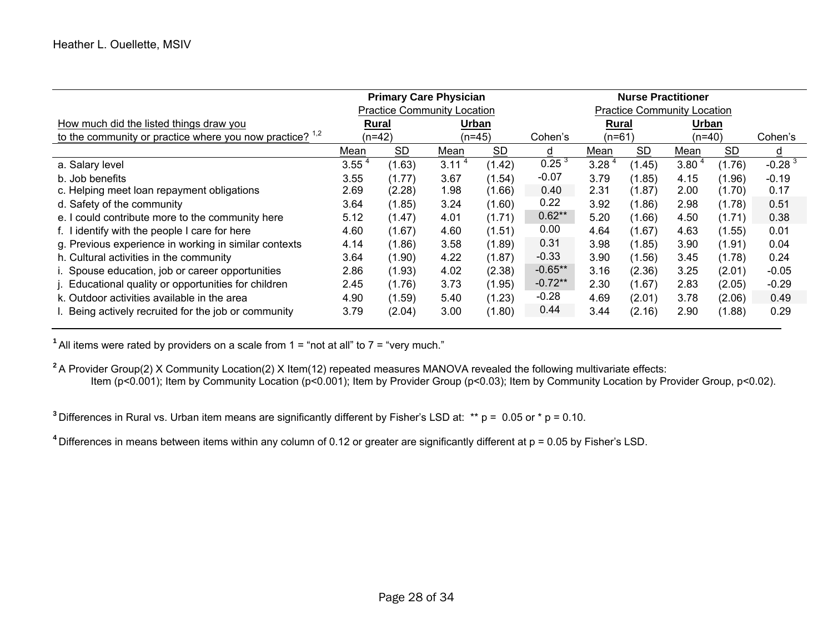|                                                            |                   |              | <b>Primary Care Physician</b>      |        | <b>Nurse Practitioner</b> |                                    |        |                   |        |          |
|------------------------------------------------------------|-------------------|--------------|------------------------------------|--------|---------------------------|------------------------------------|--------|-------------------|--------|----------|
|                                                            |                   |              | <b>Practice Community Location</b> |        |                           | <b>Practice Community Location</b> |        |                   |        |          |
| How much did the listed things draw you                    |                   | <b>Rural</b> | Urban                              |        |                           | Rural                              |        | Urban             |        |          |
| to the community or practice where you now practice? $1.2$ | (n=42)            |              | (n=45)                             |        | Cohen's                   | $(n=61)$                           |        | $(n=40)$          |        | Cohen's  |
|                                                            | SD.<br>Mean       |              | Mean                               | SD.    | d                         | Mean                               | SD.    | Mean              | SD.    | d        |
| a. Salary level                                            | 3.55 <sup>4</sup> | (1.63)       | 3.11 <sup>4</sup>                  | (1.42) | 0.25 <sup>3</sup>         | 3.28 <sup>4</sup>                  | (1.45) | 3.80 <sup>4</sup> | (1.76) | $-0.283$ |
| b. Job benefits                                            | 3.55              | (1.77)       | 3.67                               | (1.54) | $-0.07$                   | 3.79                               | (1.85) | 4.15              | (1.96) | $-0.19$  |
| c. Helping meet loan repayment obligations                 | 2.69              | (2.28)       | 1.98                               | (1.66) | 0.40                      | 2.31                               | (1.87) | 2.00              | (1.70) | 0.17     |
| d. Safety of the community                                 | 3.64              | (1.85)       | 3.24                               | (1.60) | 0.22                      | 3.92                               | (1.86) | 2.98              | (1.78) | 0.51     |
| e. I could contribute more to the community here           | 5.12              | (1.47)       | 4.01                               | (1.71) | $0.62**$                  | 5.20                               | (1.66) | 4.50              | (1.71) | 0.38     |
| f. I identify with the people I care for here              | 4.60              | (1.67)       | 4.60                               | (1.51) | 0.00                      | 4.64                               | (1.67) | 4.63              | (1.55) | 0.01     |
| g. Previous experience in working in similar contexts      | 4.14              | (1.86)       | 3.58                               | (1.89) | 0.31                      | 3.98                               | (1.85) | 3.90              | (1.91) | 0.04     |
| h. Cultural activities in the community                    | 3.64              | (1.90)       | 4.22                               | (1.87) | $-0.33$                   | 3.90                               | (1.56) | 3.45              | (1.78) | 0.24     |
| i. Spouse education, job or career opportunities           | 2.86              | (1.93)       | 4.02                               | (2.38) | $-0.65**$                 | 3.16                               | (2.36) | 3.25              | (2.01) | $-0.05$  |
| j. Educational quality or opportunities for children       | 2.45              | (1.76)       | 3.73                               | (1.95) | $-0.72**$                 | 2.30                               | (1.67) | 2.83              | (2.05) | $-0.29$  |
| k. Outdoor activities available in the area                | 4.90              | (1.59)       | 5.40                               | (1.23) | $-0.28$                   | 4.69                               | (2.01) | 3.78              | (2.06) | 0.49     |
| I. Being actively recruited for the job or community       | 3.79              | (2.04)       | 3.00                               | (1.80) | 0.44                      | 3.44                               | (2.16) | 2.90              | (1.88) | 0.29     |

**1** All items were rated by providers on a scale from 1 = "not at all" to 7 = "very much."

**2** A Provider Group(2) X Community Location(2) X Item(12) repeated measures MANOVA revealed the following multivariate effects: Item (p<0.001); Item by Community Location (p<0.001); Item by Provider Group (p<0.03); Item by Community Location by Provider Group, p<0.02).

**3** Differences in Rural vs. Urban item means are significantly different by Fisher's LSD at: \*\* p = 0.05 or \* p = 0.10.

**4** Differences in means between items within any column of 0.12 or greater are significantly different at p = 0.05 by Fisher's LSD.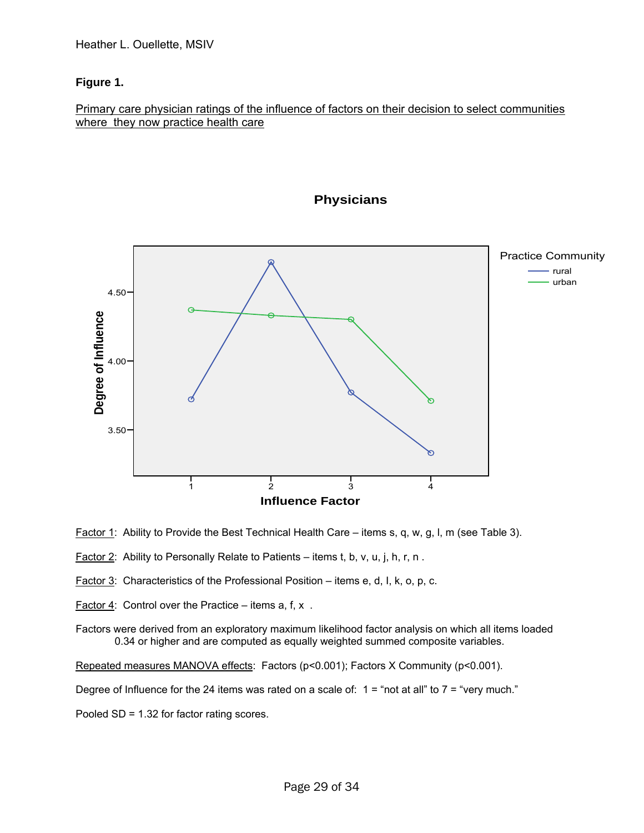# **Figure 1.**

# Primary care physician ratings of the influence of factors on their decision to select communities where they now practice health care



# **Physicians**

- Factor 1: Ability to Provide the Best Technical Health Care items s, q, w, g, l, m (see Table 3).
- Factor 2: Ability to Personally Relate to Patients items t, b, v, u, j, h, r, n.
- Factor 3: Characteristics of the Professional Position items e, d, l, k, o, p, c.
- Factor  $4$ : Control over the Practice items a, f, x.

Factors were derived from an exploratory maximum likelihood factor analysis on which all items loaded 0.34 or higher and are computed as equally weighted summed composite variables.

Repeated measures MANOVA effects: Factors (p<0.001); Factors X Community (p<0.001).

Degree of Influence for the 24 items was rated on a scale of:  $1 =$  "not at all" to  $7 =$  "very much."

Pooled SD = 1.32 for factor rating scores.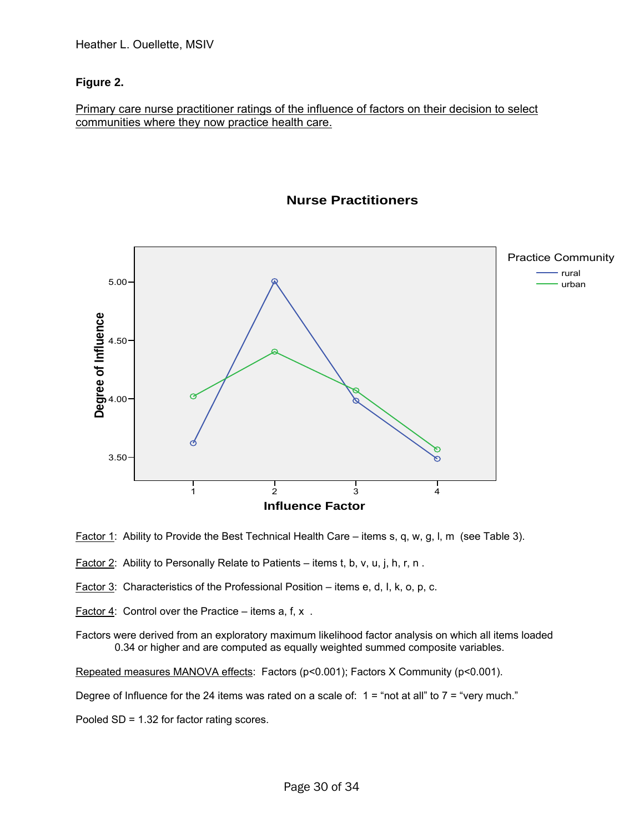# **Figure 2.**

Primary care nurse practitioner ratings of the influence of factors on their decision to select communities where they now practice health care.



# **Nurse Practitioners**

**Factor 1:** Ability to Provide the Best Technical Health Care – items s, q, w, g, l, m (see Table 3).

- Factor 2: Ability to Personally Relate to Patients items t, b, v, u, j, h, r, n.
- Factor 3: Characteristics of the Professional Position items e, d, l, k, o, p, c.
- Factor  $4$ : Control over the Practice items a, f, x.
- Factors were derived from an exploratory maximum likelihood factor analysis on which all items loaded 0.34 or higher and are computed as equally weighted summed composite variables.

Repeated measures MANOVA effects: Factors (p<0.001); Factors X Community (p<0.001).

Degree of Influence for the 24 items was rated on a scale of:  $1 = \text{``not at all''}$  to  $7 = \text{``very much."}$ 

Pooled SD = 1.32 for factor rating scores.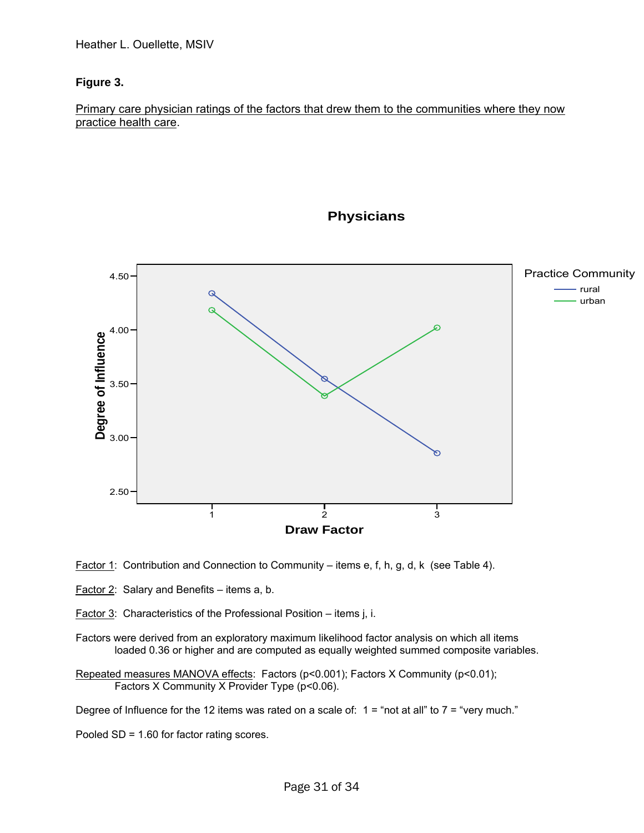# **Figure 3.**

Primary care physician ratings of the factors that drew them to the communities where they now practice health care.



**Physicians**

Factor 1: Contribution and Connection to Community – items e, f, h, g, d, k (see Table 4).

Factor 2: Salary and Benefits – items a, b.

Factor 3: Characteristics of the Professional Position – items j, i.

Factors were derived from an exploratory maximum likelihood factor analysis on which all items loaded 0.36 or higher and are computed as equally weighted summed composite variables.

Repeated measures MANOVA effects: Factors (p<0.001); Factors X Community (p<0.01); Factors X Community X Provider Type (p<0.06).

Degree of Influence for the 12 items was rated on a scale of:  $1 =$  "not at all" to  $7 =$  "very much."

Pooled SD = 1.60 for factor rating scores.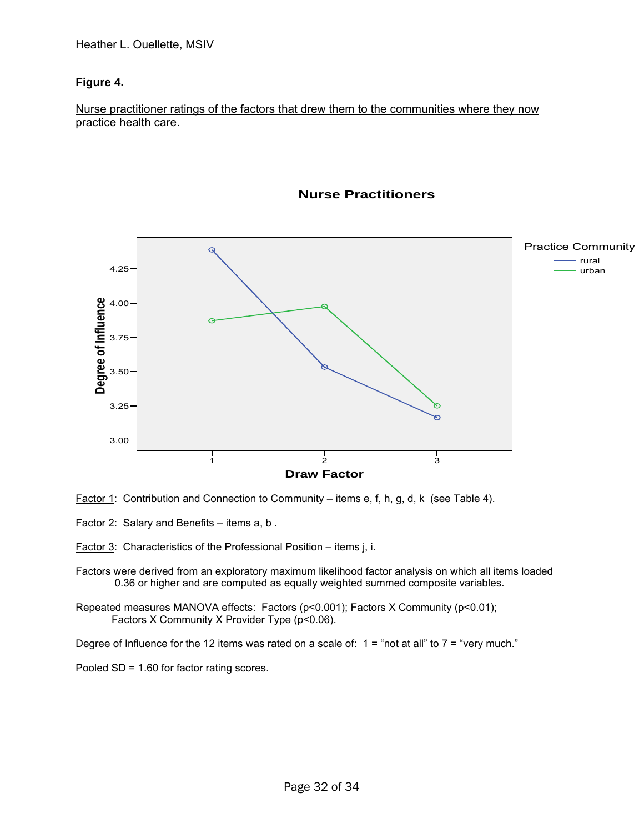# **Figure 4.**

#### Nurse practitioner ratings of the factors that drew them to the communities where they now practice health care.



#### **Nurse Practitioners**

- Factor 1: Contribution and Connection to Community items e, f, h, g, d, k (see Table 4).
- Factor 2: Salary and Benefits items a, b .

Factor 3: Characteristics of the Professional Position – items j, i.

Factors were derived from an exploratory maximum likelihood factor analysis on which all items loaded 0.36 or higher and are computed as equally weighted summed composite variables.

Repeated measures MANOVA effects: Factors (p<0.001); Factors X Community (p<0.01); Factors X Community X Provider Type (p<0.06).

Degree of Influence for the 12 items was rated on a scale of:  $1 = \text{``not at all'' to 7 = "very much."}$ 

Pooled SD = 1.60 for factor rating scores.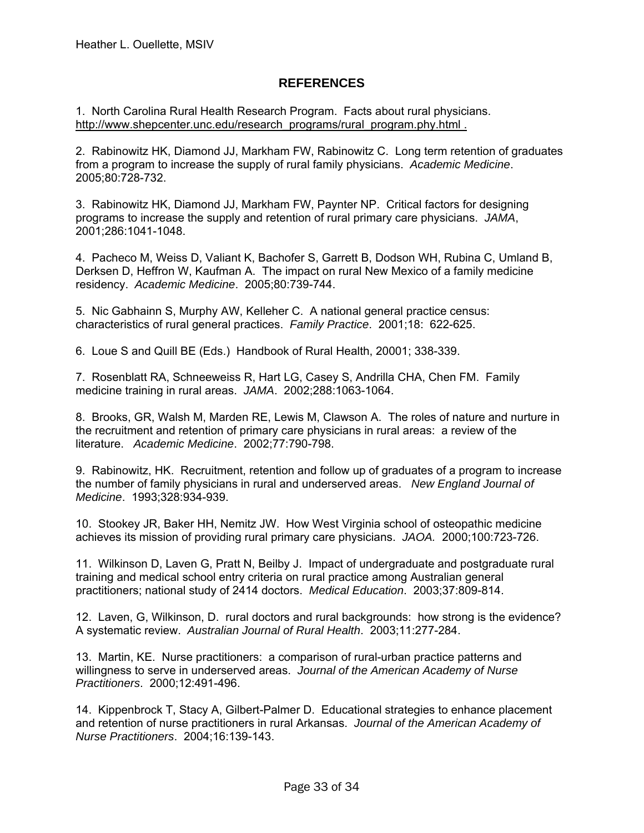# **REFERENCES**

1. North Carolina Rural Health Research Program. Facts about rural physicians. [http://www.shepcenter.unc.edu/research\\_programs/rural\\_program.phy.html](http://www.shepcenter.unc.edu/research_programs/rural_program.phy.html) .

2. Rabinowitz HK, Diamond JJ, Markham FW, Rabinowitz C. Long term retention of graduates from a program to increase the supply of rural family physicians. *Academic Medicine*. 2005;80:728-732.

3. Rabinowitz HK, Diamond JJ, Markham FW, Paynter NP. Critical factors for designing programs to increase the supply and retention of rural primary care physicians. *JAMA*, 2001;286:1041-1048.

4. Pacheco M, Weiss D, Valiant K, Bachofer S, Garrett B, Dodson WH, Rubina C, Umland B, Derksen D, Heffron W, Kaufman A. The impact on rural New Mexico of a family medicine residency. *Academic Medicine*. 2005;80:739-744.

5. Nic Gabhainn S, Murphy AW, Kelleher C. A national general practice census: characteristics of rural general practices. *Family Practice*. 2001;18: 622-625.

6. Loue S and Quill BE (Eds.) Handbook of Rural Health, 20001; 338-339.

7. Rosenblatt RA, Schneeweiss R, Hart LG, Casey S, Andrilla CHA, Chen FM. Family medicine training in rural areas. *JAMA*. 2002;288:1063-1064.

8. Brooks, GR, Walsh M, Marden RE, Lewis M, Clawson A. The roles of nature and nurture in the recruitment and retention of primary care physicians in rural areas: a review of the literature. *Academic Medicine*. 2002;77:790-798.

9. Rabinowitz, HK. Recruitment, retention and follow up of graduates of a program to increase the number of family physicians in rural and underserved areas. *New England Journal of Medicine*. 1993;328:934-939.

10. Stookey JR, Baker HH, Nemitz JW. How West Virginia school of osteopathic medicine achieves its mission of providing rural primary care physicians. *JAOA.* 2000;100:723-726.

11. Wilkinson D, Laven G, Pratt N, Beilby J. Impact of undergraduate and postgraduate rural training and medical school entry criteria on rural practice among Australian general practitioners; national study of 2414 doctors. *Medical Education*. 2003;37:809-814.

12. Laven, G, Wilkinson, D. rural doctors and rural backgrounds: how strong is the evidence? A systematic review. *Australian Journal of Rural Health*. 2003;11:277-284.

13. Martin, KE. Nurse practitioners: a comparison of rural-urban practice patterns and willingness to serve in underserved areas. *Journal of the American Academy of Nurse Practitioners*. 2000;12:491-496.

14. Kippenbrock T, Stacy A, Gilbert-Palmer D. Educational strategies to enhance placement and retention of nurse practitioners in rural Arkansas. *Journal of the American Academy of Nurse Practitioners*. 2004;16:139-143.